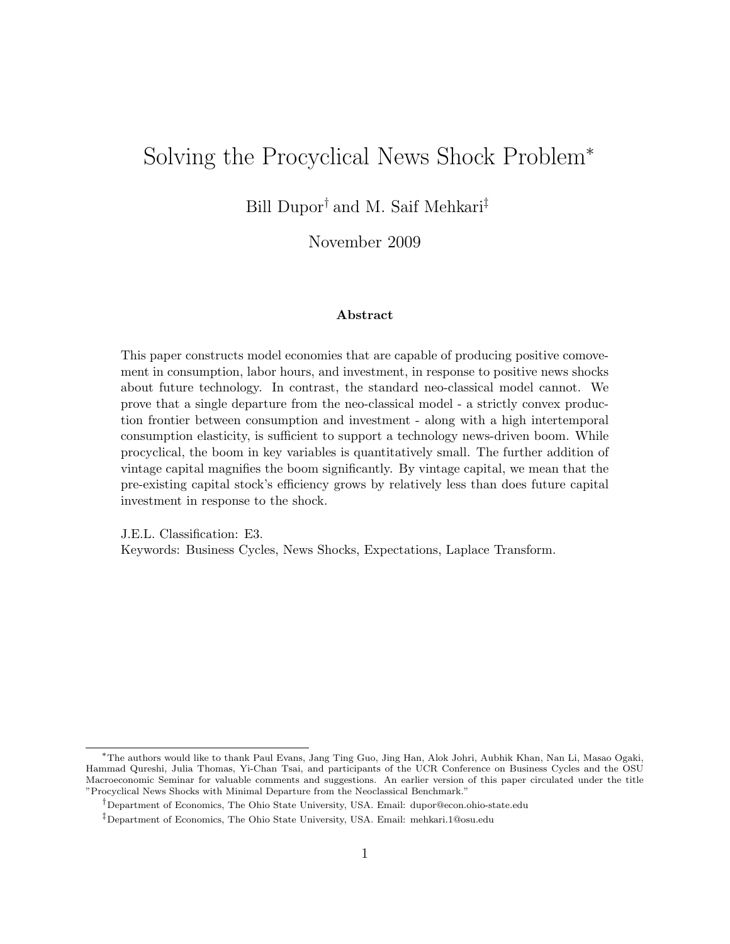## Solving the Procyclical News Shock Problem<sup>∗</sup>

Bill Dupor† and M. Saif Mehkari‡

November 2009

#### Abstract

This paper constructs model economies that are capable of producing positive comovement in consumption, labor hours, and investment, in response to positive news shocks about future technology. In contrast, the standard neo-classical model cannot. We prove that a single departure from the neo-classical model - a strictly convex production frontier between consumption and investment - along with a high intertemporal consumption elasticity, is sufficient to support a technology news-driven boom. While procyclical, the boom in key variables is quantitatively small. The further addition of vintage capital magnifies the boom significantly. By vintage capital, we mean that the pre-existing capital stock's efficiency grows by relatively less than does future capital investment in response to the shock.

J.E.L. Classification: E3. Keywords: Business Cycles, News Shocks, Expectations, Laplace Transform.

<sup>∗</sup>The authors would like to thank Paul Evans, Jang Ting Guo, Jing Han, Alok Johri, Aubhik Khan, Nan Li, Masao Ogaki, Hammad Qureshi, Julia Thomas, Yi-Chan Tsai, and participants of the UCR Conference on Business Cycles and the OSU Macroeconomic Seminar for valuable comments and suggestions. An earlier version of this paper circulated under the title "Procyclical News Shocks with Minimal Departure from the Neoclassical Benchmark."

<sup>†</sup>Department of Economics, The Ohio State University, USA. Email: dupor@econ.ohio-state.edu

<sup>‡</sup>Department of Economics, The Ohio State University, USA. Email: mehkari.1@osu.edu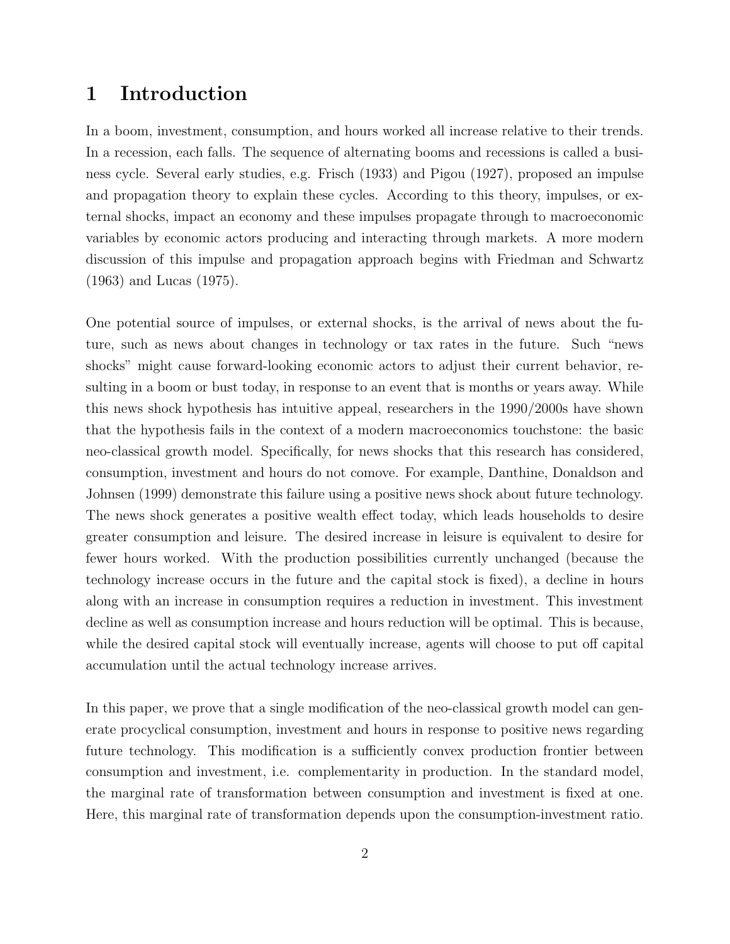## 1 Introduction

In a boom, investment, consumption, and hours worked all increase relative to their trends. In a recession, each falls. The sequence of alternating booms and recessions is called a business cycle. Several early studies, e.g. Frisch (1933) and Pigou (1927), proposed an impulse and propagation theory to explain these cycles. According to this theory, impulses, or external shocks, impact an economy and these impulses propagate through to macroeconomic variables by economic actors producing and interacting through markets. A more modern discussion of this impulse and propagation approach begins with Friedman and Schwartz (1963) and Lucas (1975).

One potential source of impulses, or external shocks, is the arrival of news about the future, such as news about changes in technology or tax rates in the future. Such "news shocks" might cause forward-looking economic actors to adjust their current behavior, resulting in a boom or bust today, in response to an event that is months or years away. While this news shock hypothesis has intuitive appeal, researchers in the 1990/2000s have shown that the hypothesis fails in the context of a modern macroeconomics touchstone: the basic neo-classical growth model. Specifically, for news shocks that this research has considered, consumption, investment and hours do not comove. For example, Danthine, Donaldson and Johnsen (1999) demonstrate this failure using a positive news shock about future technology. The news shock generates a positive wealth effect today, which leads households to desire greater consumption and leisure. The desired increase in leisure is equivalent to desire for fewer hours worked. With the production possibilities currently unchanged (because the technology increase occurs in the future and the capital stock is fixed), a decline in hours along with an increase in consumption requires a reduction in investment. This investment decline as well as consumption increase and hours reduction will be optimal. This is because, while the desired capital stock will eventually increase, agents will choose to put off capital accumulation until the actual technology increase arrives.

In this paper, we prove that a single modification of the neo-classical growth model can generate procyclical consumption, investment and hours in response to positive news regarding future technology. This modification is a sufficiently convex production frontier between consumption and investment, i.e. complementarity in production. In the standard model, the marginal rate of transformation between consumption and investment is fixed at one. Here, this marginal rate of transformation depends upon the consumption-investment ratio.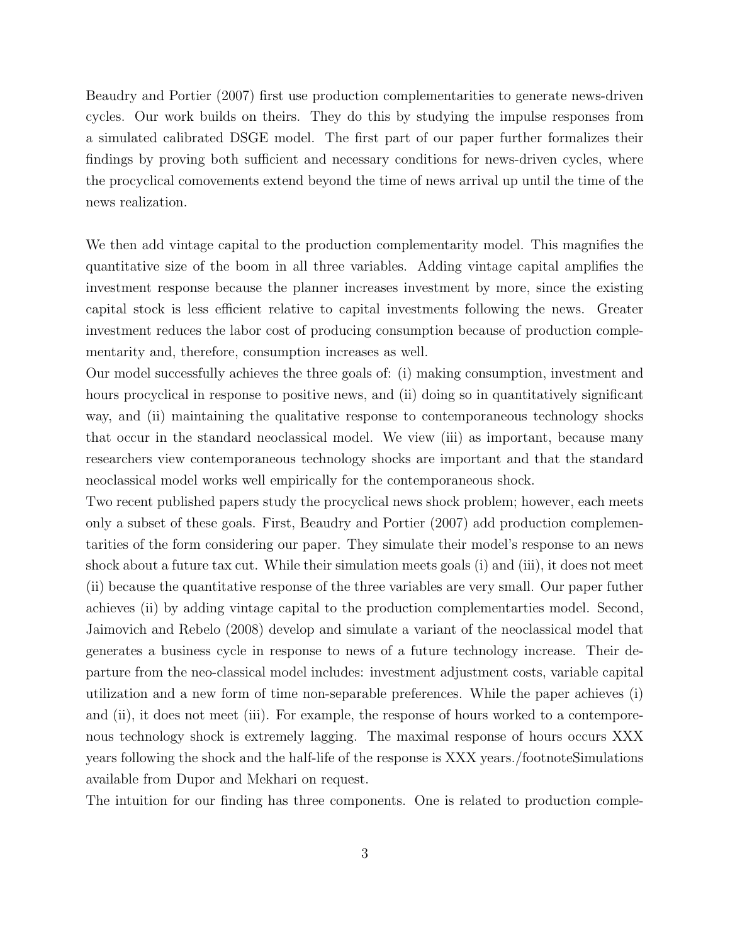Beaudry and Portier (2007) first use production complementarities to generate news-driven cycles. Our work builds on theirs. They do this by studying the impulse responses from a simulated calibrated DSGE model. The first part of our paper further formalizes their findings by proving both sufficient and necessary conditions for news-driven cycles, where the procyclical comovements extend beyond the time of news arrival up until the time of the news realization.

We then add vintage capital to the production complementarity model. This magnifies the quantitative size of the boom in all three variables. Adding vintage capital amplifies the investment response because the planner increases investment by more, since the existing capital stock is less efficient relative to capital investments following the news. Greater investment reduces the labor cost of producing consumption because of production complementarity and, therefore, consumption increases as well.

Our model successfully achieves the three goals of: (i) making consumption, investment and hours procyclical in response to positive news, and (ii) doing so in quantitatively significant way, and (ii) maintaining the qualitative response to contemporaneous technology shocks that occur in the standard neoclassical model. We view (iii) as important, because many researchers view contemporaneous technology shocks are important and that the standard neoclassical model works well empirically for the contemporaneous shock.

Two recent published papers study the procyclical news shock problem; however, each meets only a subset of these goals. First, Beaudry and Portier (2007) add production complementarities of the form considering our paper. They simulate their model's response to an news shock about a future tax cut. While their simulation meets goals (i) and (iii), it does not meet (ii) because the quantitative response of the three variables are very small. Our paper futher achieves (ii) by adding vintage capital to the production complementarties model. Second, Jaimovich and Rebelo (2008) develop and simulate a variant of the neoclassical model that generates a business cycle in response to news of a future technology increase. Their departure from the neo-classical model includes: investment adjustment costs, variable capital utilization and a new form of time non-separable preferences. While the paper achieves (i) and (ii), it does not meet (iii). For example, the response of hours worked to a contemporenous technology shock is extremely lagging. The maximal response of hours occurs XXX years following the shock and the half-life of the response is XXX years./footnoteSimulations available from Dupor and Mekhari on request.

The intuition for our finding has three components. One is related to production comple-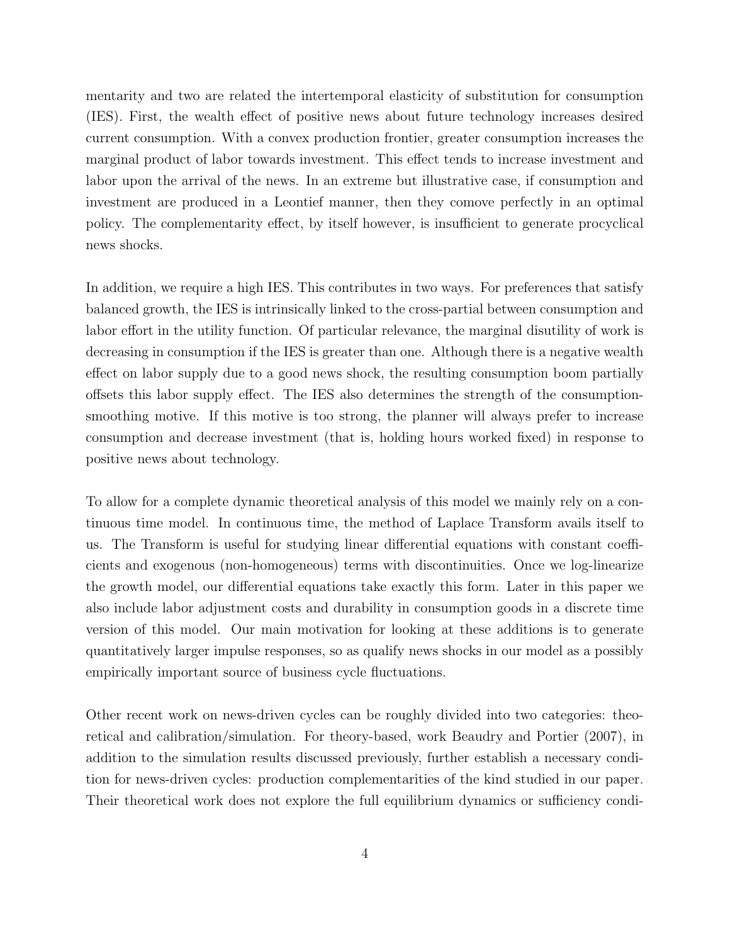mentarity and two are related the intertemporal elasticity of substitution for consumption (IES). First, the wealth effect of positive news about future technology increases desired current consumption. With a convex production frontier, greater consumption increases the marginal product of labor towards investment. This effect tends to increase investment and labor upon the arrival of the news. In an extreme but illustrative case, if consumption and investment are produced in a Leontief manner, then they comove perfectly in an optimal policy. The complementarity effect, by itself however, is insufficient to generate procyclical news shocks.

In addition, we require a high IES. This contributes in two ways. For preferences that satisfy balanced growth, the IES is intrinsically linked to the cross-partial between consumption and labor effort in the utility function. Of particular relevance, the marginal disutility of work is decreasing in consumption if the IES is greater than one. Although there is a negative wealth effect on labor supply due to a good news shock, the resulting consumption boom partially offsets this labor supply effect. The IES also determines the strength of the consumptionsmoothing motive. If this motive is too strong, the planner will always prefer to increase consumption and decrease investment (that is, holding hours worked fixed) in response to positive news about technology.

To allow for a complete dynamic theoretical analysis of this model we mainly rely on a continuous time model. In continuous time, the method of Laplace Transform avails itself to us. The Transform is useful for studying linear differential equations with constant coefficients and exogenous (non-homogeneous) terms with discontinuities. Once we log-linearize the growth model, our differential equations take exactly this form. Later in this paper we also include labor adjustment costs and durability in consumption goods in a discrete time version of this model. Our main motivation for looking at these additions is to generate quantitatively larger impulse responses, so as qualify news shocks in our model as a possibly empirically important source of business cycle fluctuations.

Other recent work on news-driven cycles can be roughly divided into two categories: theoretical and calibration/simulation. For theory-based, work Beaudry and Portier (2007), in addition to the simulation results discussed previously, further establish a necessary condition for news-driven cycles: production complementarities of the kind studied in our paper. Their theoretical work does not explore the full equilibrium dynamics or sufficiency condi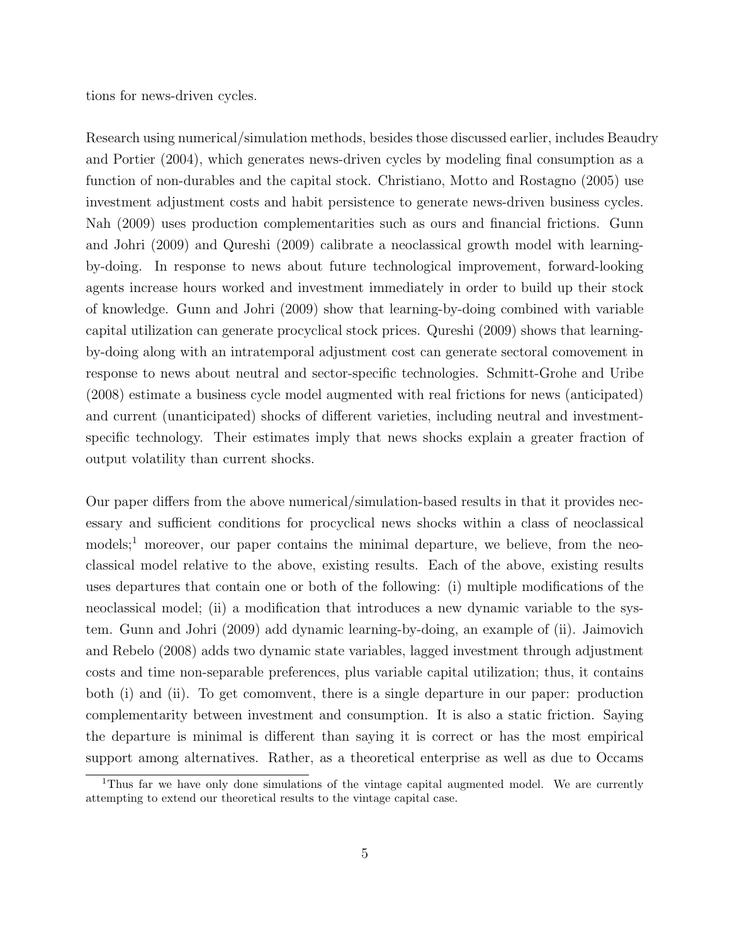tions for news-driven cycles.

Research using numerical/simulation methods, besides those discussed earlier, includes Beaudry and Portier (2004), which generates news-driven cycles by modeling final consumption as a function of non-durables and the capital stock. Christiano, Motto and Rostagno (2005) use investment adjustment costs and habit persistence to generate news-driven business cycles. Nah (2009) uses production complementarities such as ours and financial frictions. Gunn and Johri (2009) and Qureshi (2009) calibrate a neoclassical growth model with learningby-doing. In response to news about future technological improvement, forward-looking agents increase hours worked and investment immediately in order to build up their stock of knowledge. Gunn and Johri (2009) show that learning-by-doing combined with variable capital utilization can generate procyclical stock prices. Qureshi (2009) shows that learningby-doing along with an intratemporal adjustment cost can generate sectoral comovement in response to news about neutral and sector-specific technologies. Schmitt-Grohe and Uribe (2008) estimate a business cycle model augmented with real frictions for news (anticipated) and current (unanticipated) shocks of different varieties, including neutral and investmentspecific technology. Their estimates imply that news shocks explain a greater fraction of output volatility than current shocks.

Our paper differs from the above numerical/simulation-based results in that it provides necessary and sufficient conditions for procyclical news shocks within a class of neoclassical models;<sup>1</sup> moreover, our paper contains the minimal departure, we believe, from the neoclassical model relative to the above, existing results. Each of the above, existing results uses departures that contain one or both of the following: (i) multiple modifications of the neoclassical model; (ii) a modification that introduces a new dynamic variable to the system. Gunn and Johri (2009) add dynamic learning-by-doing, an example of (ii). Jaimovich and Rebelo (2008) adds two dynamic state variables, lagged investment through adjustment costs and time non-separable preferences, plus variable capital utilization; thus, it contains both (i) and (ii). To get comomvent, there is a single departure in our paper: production complementarity between investment and consumption. It is also a static friction. Saying the departure is minimal is different than saying it is correct or has the most empirical support among alternatives. Rather, as a theoretical enterprise as well as due to Occams

<sup>&</sup>lt;sup>1</sup>Thus far we have only done simulations of the vintage capital augmented model. We are currently attempting to extend our theoretical results to the vintage capital case.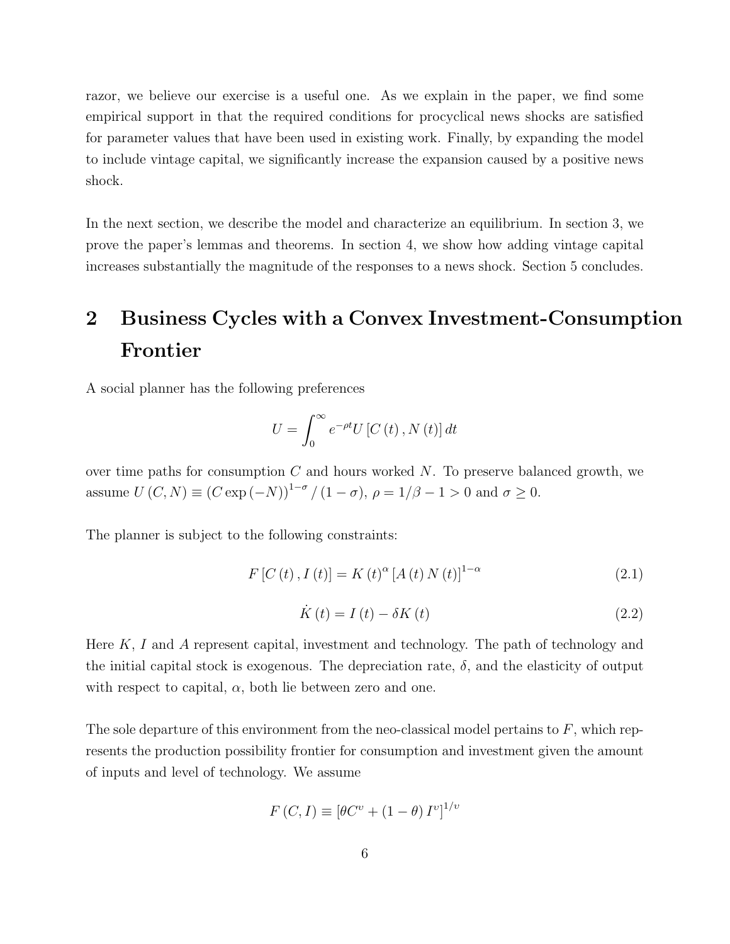razor, we believe our exercise is a useful one. As we explain in the paper, we find some empirical support in that the required conditions for procyclical news shocks are satisfied for parameter values that have been used in existing work. Finally, by expanding the model to include vintage capital, we significantly increase the expansion caused by a positive news shock.

In the next section, we describe the model and characterize an equilibrium. In section 3, we prove the paper's lemmas and theorems. In section 4, we show how adding vintage capital increases substantially the magnitude of the responses to a news shock. Section 5 concludes.

# 2 Business Cycles with a Convex Investment-Consumption Frontier

A social planner has the following preferences

$$
U = \int_0^\infty e^{-\rho t} U\left[C\left(t\right), N\left(t\right)\right] dt
$$

over time paths for consumption  $C$  and hours worked  $N$ . To preserve balanced growth, we assume  $U(C, N) \equiv (C \exp(-N))^{1-\sigma}/(1-\sigma)$ ,  $\rho = 1/\beta - 1 > 0$  and  $\sigma \ge 0$ .

The planner is subject to the following constraints:

$$
F[C(t), I(t)] = K(t)^{\alpha} [A(t) N(t)]^{1-\alpha}
$$
\n(2.1)

$$
\dot{K}(t) = I(t) - \delta K(t) \tag{2.2}
$$

Here  $K, I$  and A represent capital, investment and technology. The path of technology and the initial capital stock is exogenous. The depreciation rate,  $\delta$ , and the elasticity of output with respect to capital,  $\alpha$ , both lie between zero and one.

The sole departure of this environment from the neo-classical model pertains to  $F$ , which represents the production possibility frontier for consumption and investment given the amount of inputs and level of technology. We assume

$$
F(C, I) \equiv \left[\theta C^{\nu} + (1 - \theta) I^{\nu}\right]^{1/\nu}
$$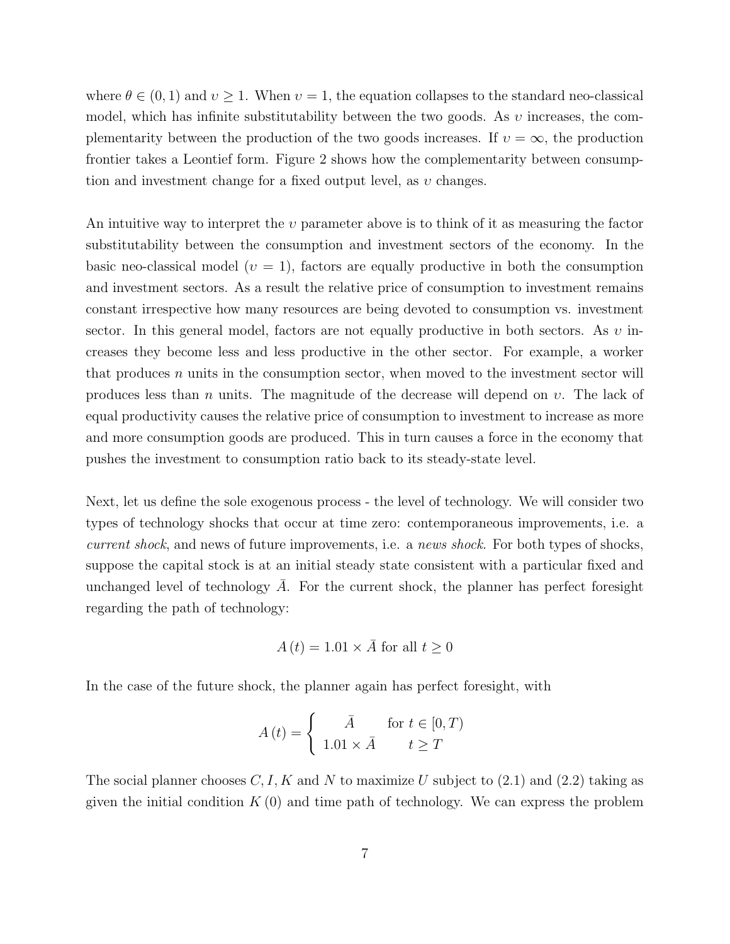where  $\theta \in (0, 1)$  and  $v \ge 1$ . When  $v = 1$ , the equation collapses to the standard neo-classical model, which has infinite substitutability between the two goods. As  $v$  increases, the complementarity between the production of the two goods increases. If  $v = \infty$ , the production frontier takes a Leontief form. Figure 2 shows how the complementarity between consumption and investment change for a fixed output level, as  $v$  changes.

An intuitive way to interpret the  $v$  parameter above is to think of it as measuring the factor substitutability between the consumption and investment sectors of the economy. In the basic neo-classical model ( $v = 1$ ), factors are equally productive in both the consumption and investment sectors. As a result the relative price of consumption to investment remains constant irrespective how many resources are being devoted to consumption vs. investment sector. In this general model, factors are not equally productive in both sectors. As  $v$  increases they become less and less productive in the other sector. For example, a worker that produces  $n$  units in the consumption sector, when moved to the investment sector will produces less than n units. The magnitude of the decrease will depend on  $v$ . The lack of equal productivity causes the relative price of consumption to investment to increase as more and more consumption goods are produced. This in turn causes a force in the economy that pushes the investment to consumption ratio back to its steady-state level.

Next, let us define the sole exogenous process - the level of technology. We will consider two types of technology shocks that occur at time zero: contemporaneous improvements, i.e. a current shock, and news of future improvements, i.e. a news shock. For both types of shocks, suppose the capital stock is at an initial steady state consistent with a particular fixed and unchanged level of technology  $A$ . For the current shock, the planner has perfect foresight regarding the path of technology:

$$
A(t) = 1.01 \times \overline{A} \text{ for all } t \ge 0
$$

In the case of the future shock, the planner again has perfect foresight, with

$$
A(t) = \begin{cases} \bar{A} & \text{for } t \in [0, T) \\ 1.01 \times \bar{A} & t \ge T \end{cases}
$$

The social planner chooses  $C, I, K$  and N to maximize U subject to (2.1) and (2.2) taking as given the initial condition  $K(0)$  and time path of technology. We can express the problem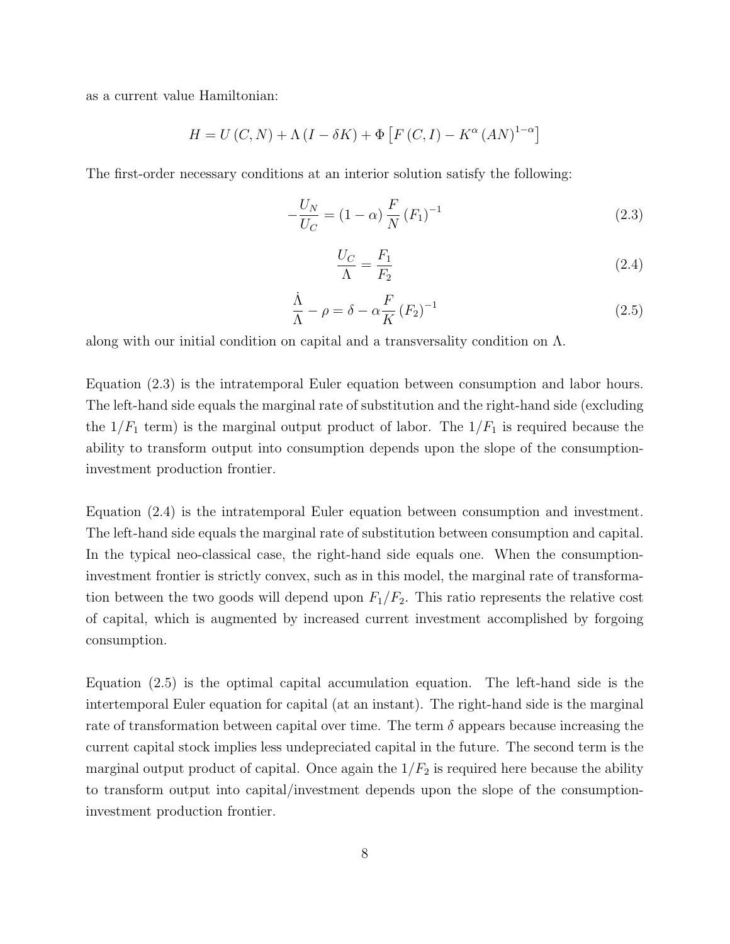as a current value Hamiltonian:

$$
H = U(C, N) + \Lambda (I - \delta K) + \Phi [F (C, I) - K^{\alpha} (AN)^{1-\alpha}]
$$

The first-order necessary conditions at an interior solution satisfy the following:

$$
-\frac{U_N}{U_C} = (1 - \alpha) \frac{F}{N} (F_1)^{-1}
$$
\n(2.3)

$$
\frac{U_C}{\Lambda} = \frac{F_1}{F_2} \tag{2.4}
$$

$$
\frac{\dot{\Lambda}}{\Lambda} - \rho = \delta - \alpha \frac{F}{K} (F_2)^{-1}
$$
\n(2.5)

along with our initial condition on capital and a transversality condition on Λ.

Equation (2.3) is the intratemporal Euler equation between consumption and labor hours. The left-hand side equals the marginal rate of substitution and the right-hand side (excluding the  $1/F_1$  term) is the marginal output product of labor. The  $1/F_1$  is required because the ability to transform output into consumption depends upon the slope of the consumptioninvestment production frontier.

Equation (2.4) is the intratemporal Euler equation between consumption and investment. The left-hand side equals the marginal rate of substitution between consumption and capital. In the typical neo-classical case, the right-hand side equals one. When the consumptioninvestment frontier is strictly convex, such as in this model, the marginal rate of transformation between the two goods will depend upon  $F_1/F_2$ . This ratio represents the relative cost of capital, which is augmented by increased current investment accomplished by forgoing consumption.

Equation (2.5) is the optimal capital accumulation equation. The left-hand side is the intertemporal Euler equation for capital (at an instant). The right-hand side is the marginal rate of transformation between capital over time. The term  $\delta$  appears because increasing the current capital stock implies less undepreciated capital in the future. The second term is the marginal output product of capital. Once again the  $1/F_2$  is required here because the ability to transform output into capital/investment depends upon the slope of the consumptioninvestment production frontier.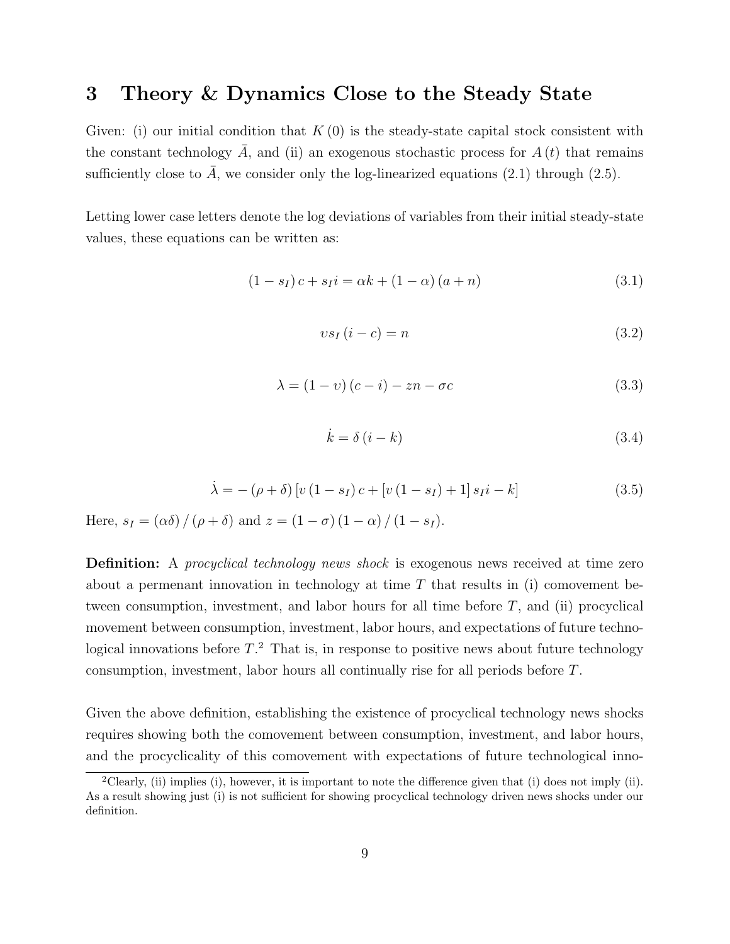## 3 Theory & Dynamics Close to the Steady State

Given: (i) our initial condition that  $K(0)$  is the steady-state capital stock consistent with the constant technology A, and (ii) an exogenous stochastic process for  $A(t)$  that remains sufficiently close to  $\bar{A}$ , we consider only the log-linearized equations (2.1) through (2.5).

Letting lower case letters denote the log deviations of variables from their initial steady-state values, these equations can be written as:

$$
(1 - s_I)c + s_I i = \alpha k + (1 - \alpha)(a + n)
$$
\n(3.1)

$$
vs_I(i-c) = n \tag{3.2}
$$

$$
\lambda = (1 - v)(c - i) - zn - \sigma c \tag{3.3}
$$

$$
\dot{k} = \delta \left( i - k \right) \tag{3.4}
$$

$$
\dot{\lambda} = -(\rho + \delta) \left[ v \left( 1 - s_I \right) c + \left[ v \left( 1 - s_I \right) + 1 \right] s_I i - k \right] \tag{3.5}
$$

Here,  $s_I = (\alpha \delta) / (\rho + \delta)$  and  $z = (1 - \sigma) (1 - \alpha) / (1 - s_I)$ .

**Definition:** A procyclical technology news shock is exogenous news received at time zero about a permenant innovation in technology at time  $T$  that results in (i) comovement between consumption, investment, and labor hours for all time before  $T$ , and (ii) procyclical movement between consumption, investment, labor hours, and expectations of future technological innovations before  $T<sup>2</sup>$ . That is, in response to positive news about future technology consumption, investment, labor hours all continually rise for all periods before T.

Given the above definition, establishing the existence of procyclical technology news shocks requires showing both the comovement between consumption, investment, and labor hours, and the procyclicality of this comovement with expectations of future technological inno-

<sup>&</sup>lt;sup>2</sup>Clearly, (ii) implies (i), however, it is important to note the difference given that (i) does not imply (ii). As a result showing just (i) is not sufficient for showing procyclical technology driven news shocks under our definition.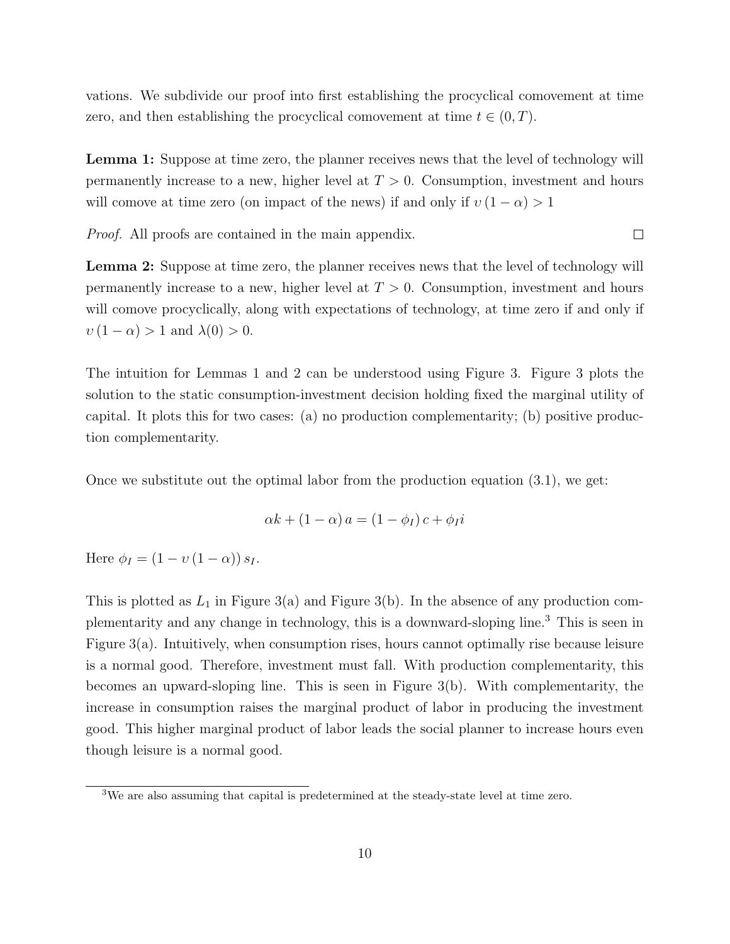vations. We subdivide our proof into first establishing the procyclical comovement at time zero, and then establishing the procyclical comovement at time  $t \in (0, T)$ .

Lemma 1: Suppose at time zero, the planner receives news that the level of technology will permanently increase to a new, higher level at  $T > 0$ . Consumption, investment and hours will comove at time zero (on impact of the news) if and only if  $v(1-\alpha) > 1$ 

 $\Box$ 

Proof. All proofs are contained in the main appendix.

Lemma 2: Suppose at time zero, the planner receives news that the level of technology will permanently increase to a new, higher level at  $T > 0$ . Consumption, investment and hours will comove procyclically, along with expectations of technology, at time zero if and only if  $v(1-\alpha) > 1$  and  $\lambda(0) > 0$ .

The intuition for Lemmas 1 and 2 can be understood using Figure 3. Figure 3 plots the solution to the static consumption-investment decision holding fixed the marginal utility of capital. It plots this for two cases: (a) no production complementarity; (b) positive production complementarity.

Once we substitute out the optimal labor from the production equation  $(3.1)$ , we get:

$$
\alpha k + (1 - \alpha) a = (1 - \phi_I) c + \phi_I i
$$

Here  $\phi_I = (1 - v (1 - \alpha)) s_I$ .

This is plotted as  $L_1$  in Figure 3(a) and Figure 3(b). In the absence of any production complementarity and any change in technology, this is a downward-sloping line.<sup>3</sup> This is seen in Figure 3(a). Intuitively, when consumption rises, hours cannot optimally rise because leisure is a normal good. Therefore, investment must fall. With production complementarity, this becomes an upward-sloping line. This is seen in Figure 3(b). With complementarity, the increase in consumption raises the marginal product of labor in producing the investment good. This higher marginal product of labor leads the social planner to increase hours even though leisure is a normal good.

<sup>3</sup>We are also assuming that capital is predetermined at the steady-state level at time zero.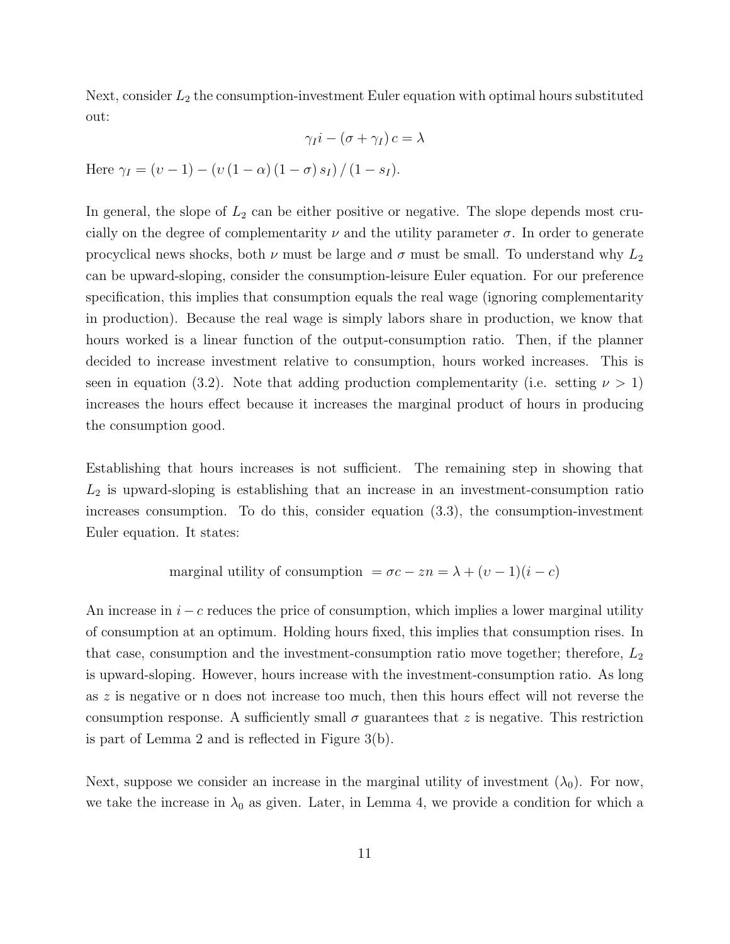Next, consider  $L_2$  the consumption-investment Euler equation with optimal hours substituted out:

$$
\gamma_I i - (\sigma + \gamma_I) c = \lambda
$$

Here  $\gamma_I = (v - 1) - (v (1 - \alpha) (1 - \sigma) s_I) / (1 - s_I).$ 

In general, the slope of  $L_2$  can be either positive or negative. The slope depends most crucially on the degree of complementarity  $\nu$  and the utility parameter  $\sigma$ . In order to generate procyclical news shocks, both  $\nu$  must be large and  $\sigma$  must be small. To understand why  $L_2$ can be upward-sloping, consider the consumption-leisure Euler equation. For our preference specification, this implies that consumption equals the real wage (ignoring complementarity in production). Because the real wage is simply labors share in production, we know that hours worked is a linear function of the output-consumption ratio. Then, if the planner decided to increase investment relative to consumption, hours worked increases. This is seen in equation (3.2). Note that adding production complementarity (i.e. setting  $\nu > 1$ ) increases the hours effect because it increases the marginal product of hours in producing the consumption good.

Establishing that hours increases is not sufficient. The remaining step in showing that  $L_2$  is upward-sloping is establishing that an increase in an investment-consumption ratio increases consumption. To do this, consider equation (3.3), the consumption-investment Euler equation. It states:

marginal utility of consumption 
$$
= \sigma c - zn = \lambda + (v - 1)(i - c)
$$

An increase in  $i - c$  reduces the price of consumption, which implies a lower marginal utility of consumption at an optimum. Holding hours fixed, this implies that consumption rises. In that case, consumption and the investment-consumption ratio move together; therefore,  $L_2$ is upward-sloping. However, hours increase with the investment-consumption ratio. As long as z is negative or n does not increase too much, then this hours effect will not reverse the consumption response. A sufficiently small  $\sigma$  guarantees that z is negative. This restriction is part of Lemma 2 and is reflected in Figure 3(b).

Next, suppose we consider an increase in the marginal utility of investment  $(\lambda_0)$ . For now, we take the increase in  $\lambda_0$  as given. Later, in Lemma 4, we provide a condition for which a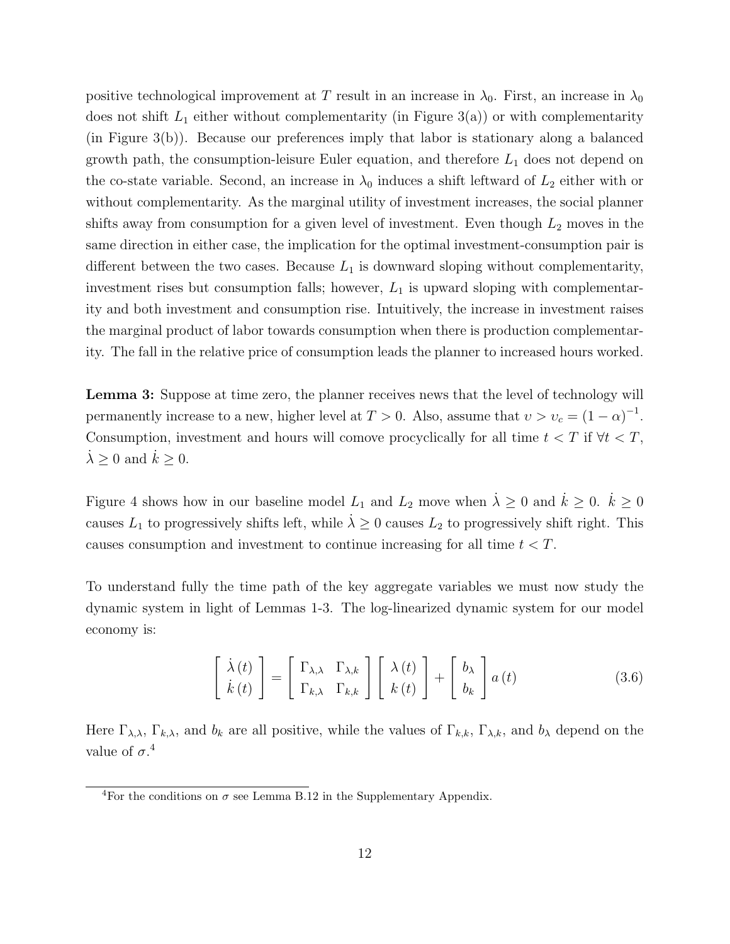positive technological improvement at T result in an increase in  $\lambda_0$ . First, an increase in  $\lambda_0$ does not shift  $L_1$  either without complementarity (in Figure 3(a)) or with complementarity (in Figure 3(b)). Because our preferences imply that labor is stationary along a balanced growth path, the consumption-leisure Euler equation, and therefore  $L_1$  does not depend on the co-state variable. Second, an increase in  $\lambda_0$  induces a shift leftward of  $L_2$  either with or without complementarity. As the marginal utility of investment increases, the social planner shifts away from consumption for a given level of investment. Even though  $L_2$  moves in the same direction in either case, the implication for the optimal investment-consumption pair is different between the two cases. Because  $L_1$  is downward sloping without complementarity, investment rises but consumption falls; however,  $L_1$  is upward sloping with complementarity and both investment and consumption rise. Intuitively, the increase in investment raises the marginal product of labor towards consumption when there is production complementarity. The fall in the relative price of consumption leads the planner to increased hours worked.

Lemma 3: Suppose at time zero, the planner receives news that the level of technology will permanently increase to a new, higher level at  $T > 0$ . Also, assume that  $v > v_c = (1 - \alpha)^{-1}$ . Consumption, investment and hours will comove procyclically for all time  $t < T$  if  $\forall t < T$ ,  $\lambda \geq 0$  and  $k \geq 0$ .

Figure 4 shows how in our baseline model  $L_1$  and  $L_2$  move when  $\lambda \geq 0$  and  $\dot{k} \geq 0$ .  $\dot{k} \geq 0$ causes  $L_1$  to progressively shifts left, while  $\lambda \geq 0$  causes  $L_2$  to progressively shift right. This causes consumption and investment to continue increasing for all time  $t < T$ .

To understand fully the time path of the key aggregate variables we must now study the dynamic system in light of Lemmas 1-3. The log-linearized dynamic system for our model economy is:

$$
\begin{bmatrix} \dot{\lambda}(t) \\ \dot{k}(t) \end{bmatrix} = \begin{bmatrix} \Gamma_{\lambda,\lambda} & \Gamma_{\lambda,k} \\ \Gamma_{k,\lambda} & \Gamma_{k,k} \end{bmatrix} \begin{bmatrix} \lambda(t) \\ k(t) \end{bmatrix} + \begin{bmatrix} b_{\lambda} \\ b_{k} \end{bmatrix} a(t)
$$
(3.6)

Here  $\Gamma_{\lambda,\lambda}$ ,  $\Gamma_{k,\lambda}$ , and  $b_k$  are all positive, while the values of  $\Gamma_{k,k}$ ,  $\Gamma_{\lambda,k}$ , and  $b_\lambda$  depend on the value of  $\sigma$ <sup>4</sup>

<sup>&</sup>lt;sup>4</sup>For the conditions on  $\sigma$  see Lemma B.12 in the Supplementary Appendix.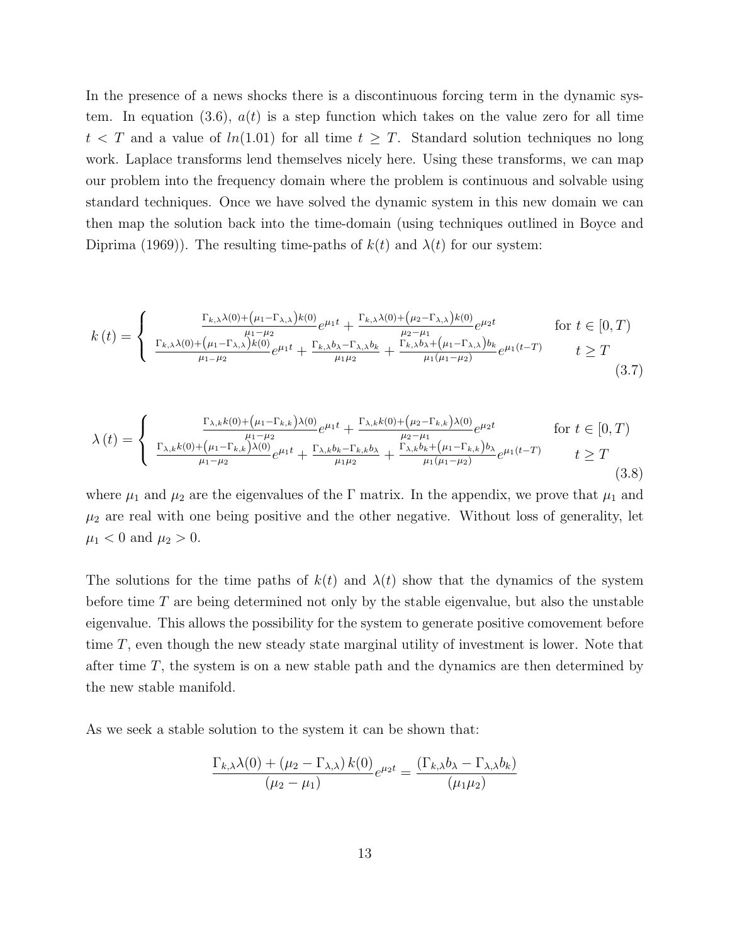In the presence of a news shocks there is a discontinuous forcing term in the dynamic system. In equation (3.6),  $a(t)$  is a step function which takes on the value zero for all time  $t < T$  and a value of  $ln(1.01)$  for all time  $t \geq T$ . Standard solution techniques no long work. Laplace transforms lend themselves nicely here. Using these transforms, we can map our problem into the frequency domain where the problem is continuous and solvable using standard techniques. Once we have solved the dynamic system in this new domain we can then map the solution back into the time-domain (using techniques outlined in Boyce and Diprima (1969)). The resulting time-paths of  $k(t)$  and  $\lambda(t)$  for our system:

$$
k(t) = \begin{cases} \frac{\Gamma_{k,\lambda}\lambda(0) + (\mu_1 - \Gamma_{\lambda,\lambda})k(0)}{\mu_1 - \mu_2} e^{\mu_1 t} + \frac{\Gamma_{k,\lambda}\lambda(0) + (\mu_2 - \Gamma_{\lambda,\lambda})k(0)}{\mu_2 - \mu_1} e^{\mu_2 t} & \text{for } t \in [0, T) \\ \frac{\Gamma_{k,\lambda}\lambda(0) + (\mu_1 - \Gamma_{\lambda,\lambda})k(0)}{\mu_1 - \mu_2} e^{\mu_1 t} + \frac{\Gamma_{k,\lambda}b_{\lambda} - \Gamma_{\lambda,\lambda}b_{k}}{\mu_1 \mu_2} + \frac{\Gamma_{k,\lambda}b_{\lambda} + (\mu_1 - \Gamma_{\lambda,\lambda})b_{k}}{\mu_1 (\mu_1 - \mu_2)} e^{\mu_1 (t - T)} & t \ge T \end{cases}
$$
(3.7)

$$
\lambda(t) = \begin{cases} \frac{\Gamma_{\lambda,k}(0) + (\mu_1 - \Gamma_{k,k})\lambda(0)}{\mu_1 - \mu_2} e^{\mu_1 t} + \frac{\Gamma_{\lambda,k}(0) + (\mu_2 - \Gamma_{k,k})\lambda(0)}{\mu_2 - \mu_1} e^{\mu_2 t} & \text{for } t \in [0, T) \\ \frac{\Gamma_{\lambda,k}(0) + (\mu_1 - \Gamma_{k,k})\lambda(0)}{\mu_1 - \mu_2} e^{\mu_1 t} + \frac{\Gamma_{\lambda,k}b_k - \Gamma_{k,k}b_\lambda}{\mu_1 \mu_2} + \frac{\Gamma_{\lambda,k}b_k + (\mu_1 - \Gamma_{k,k})b_\lambda}{\mu_1 (\mu_1 - \mu_2)} e^{\mu_1 (t - T)} & t \ge T \\ \end{cases}
$$
(3.8)

where  $\mu_1$  and  $\mu_2$  are the eigenvalues of the Γ matrix. In the appendix, we prove that  $\mu_1$  and  $\mu_2$  are real with one being positive and the other negative. Without loss of generality, let  $\mu_1 < 0$  and  $\mu_2 > 0$ .

The solutions for the time paths of  $k(t)$  and  $\lambda(t)$  show that the dynamics of the system before time T are being determined not only by the stable eigenvalue, but also the unstable eigenvalue. This allows the possibility for the system to generate positive comovement before time T, even though the new steady state marginal utility of investment is lower. Note that after time  $T$ , the system is on a new stable path and the dynamics are then determined by the new stable manifold.

As we seek a stable solution to the system it can be shown that:

$$
\frac{\Gamma_{k,\lambda}\lambda(0) + (\mu_2 - \Gamma_{\lambda,\lambda}) k(0)}{(\mu_2 - \mu_1)} e^{\mu_2 t} = \frac{(\Gamma_{k,\lambda}b_{\lambda} - \Gamma_{\lambda,\lambda}b_k)}{(\mu_1\mu_2)}
$$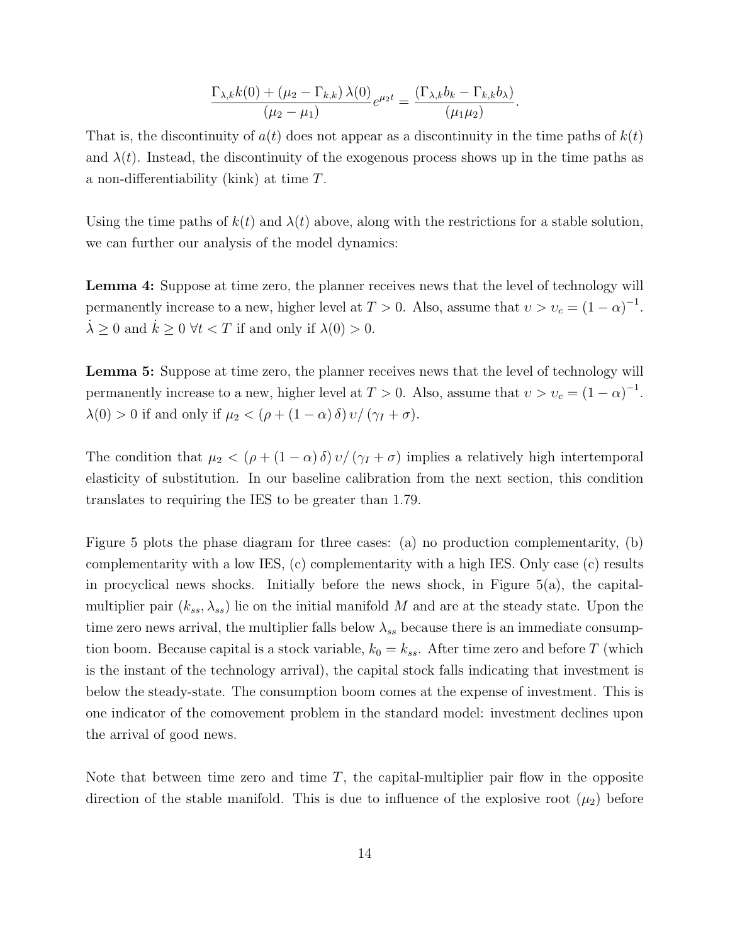$$
\frac{\Gamma_{\lambda,k}k(0) + (\mu_2 - \Gamma_{k,k})\lambda(0)}{(\mu_2 - \mu_1)}e^{\mu_2 t} = \frac{(\Gamma_{\lambda,k}b_k - \Gamma_{k,k}b_\lambda)}{(\mu_1\mu_2)}.
$$

That is, the discontinuity of  $a(t)$  does not appear as a discontinuity in the time paths of  $k(t)$ and  $\lambda(t)$ . Instead, the discontinuity of the exogenous process shows up in the time paths as a non-differentiability (kink) at time T.

Using the time paths of  $k(t)$  and  $\lambda(t)$  above, along with the restrictions for a stable solution, we can further our analysis of the model dynamics:

Lemma 4: Suppose at time zero, the planner receives news that the level of technology will permanently increase to a new, higher level at  $T > 0$ . Also, assume that  $v > v_c = (1 - \alpha)^{-1}$ .  $\lambda \geq 0$  and  $k \geq 0$   $\forall t < T$  if and only if  $\lambda(0) > 0$ .

Lemma 5: Suppose at time zero, the planner receives news that the level of technology will permanently increase to a new, higher level at  $T > 0$ . Also, assume that  $v > v_c = (1 - \alpha)^{-1}$ .  $\lambda(0) > 0$  if and only if  $\mu_2 < (\rho + (1 - \alpha) \delta) v / (\gamma_I + \sigma)$ .

The condition that  $\mu_2 < (\rho + (1 - \alpha) \delta) v / (\gamma_I + \sigma)$  implies a relatively high intertemporal elasticity of substitution. In our baseline calibration from the next section, this condition translates to requiring the IES to be greater than 1.79.

Figure 5 plots the phase diagram for three cases: (a) no production complementarity, (b) complementarity with a low IES, (c) complementarity with a high IES. Only case (c) results in procyclical news shocks. Initially before the news shock, in Figure 5(a), the capitalmultiplier pair  $(k_{ss}, \lambda_{ss})$  lie on the initial manifold M and are at the steady state. Upon the time zero news arrival, the multiplier falls below  $\lambda_{ss}$  because there is an immediate consumption boom. Because capital is a stock variable,  $k_0 = k_{ss}$ . After time zero and before T (which is the instant of the technology arrival), the capital stock falls indicating that investment is below the steady-state. The consumption boom comes at the expense of investment. This is one indicator of the comovement problem in the standard model: investment declines upon the arrival of good news.

Note that between time zero and time  $T$ , the capital-multiplier pair flow in the opposite direction of the stable manifold. This is due to influence of the explosive root  $(\mu_2)$  before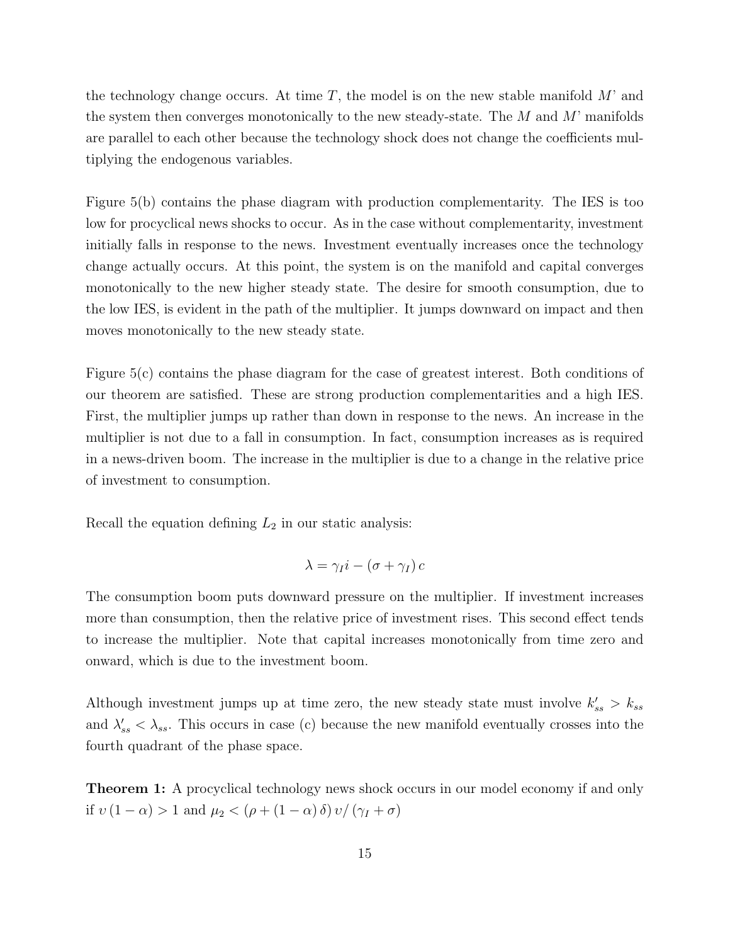the technology change occurs. At time  $T$ , the model is on the new stable manifold  $M'$  and the system then converges monotonically to the new steady-state. The  $M$  and  $M'$  manifolds are parallel to each other because the technology shock does not change the coefficients multiplying the endogenous variables.

Figure 5(b) contains the phase diagram with production complementarity. The IES is too low for procyclical news shocks to occur. As in the case without complementarity, investment initially falls in response to the news. Investment eventually increases once the technology change actually occurs. At this point, the system is on the manifold and capital converges monotonically to the new higher steady state. The desire for smooth consumption, due to the low IES, is evident in the path of the multiplier. It jumps downward on impact and then moves monotonically to the new steady state.

Figure 5(c) contains the phase diagram for the case of greatest interest. Both conditions of our theorem are satisfied. These are strong production complementarities and a high IES. First, the multiplier jumps up rather than down in response to the news. An increase in the multiplier is not due to a fall in consumption. In fact, consumption increases as is required in a news-driven boom. The increase in the multiplier is due to a change in the relative price of investment to consumption.

Recall the equation defining  $L_2$  in our static analysis:

$$
\lambda = \gamma_I i - (\sigma + \gamma_I) c
$$

The consumption boom puts downward pressure on the multiplier. If investment increases more than consumption, then the relative price of investment rises. This second effect tends to increase the multiplier. Note that capital increases monotonically from time zero and onward, which is due to the investment boom.

Although investment jumps up at time zero, the new steady state must involve  $k'_{ss} > k_{ss}$ and  $\lambda'_{ss} < \lambda_{ss}$ . This occurs in case (c) because the new manifold eventually crosses into the fourth quadrant of the phase space.

Theorem 1: A procyclical technology news shock occurs in our model economy if and only if  $v(1-\alpha) > 1$  and  $\mu_2 < (\rho + (1-\alpha)\delta)v/(\gamma_I + \sigma)$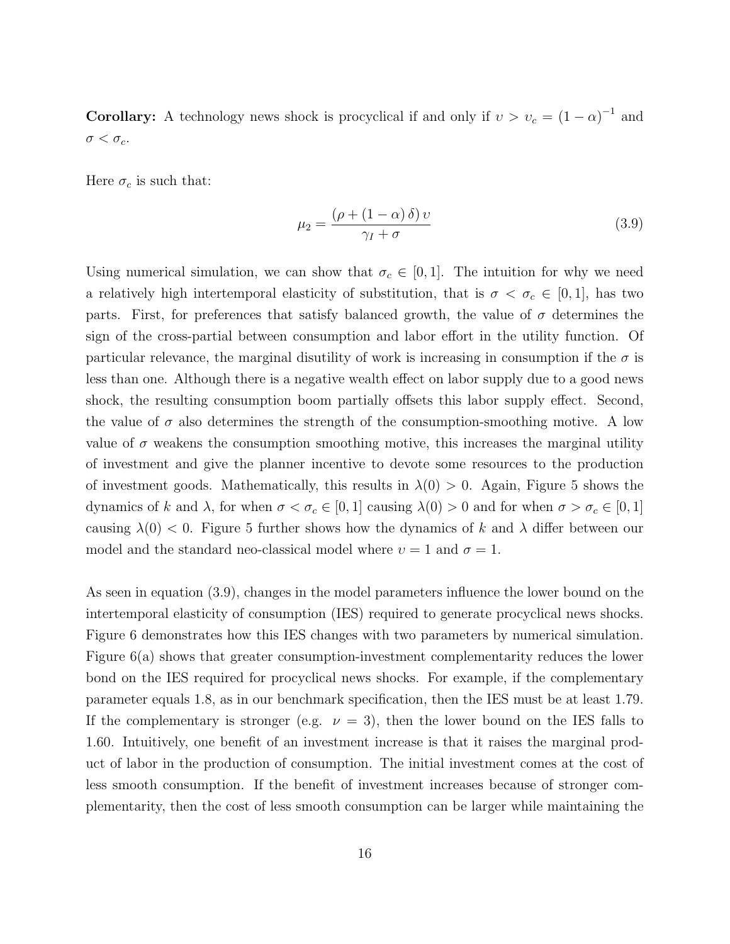**Corollary:** A technology news shock is procyclical if and only if  $v > v_c = (1 - \alpha)^{-1}$  and  $\sigma < \sigma_c$ .

Here  $\sigma_c$  is such that:

$$
\mu_2 = \frac{(\rho + (1 - \alpha)\,\delta)\,v}{\gamma_I + \sigma} \tag{3.9}
$$

Using numerical simulation, we can show that  $\sigma_c \in [0,1]$ . The intuition for why we need a relatively high intertemporal elasticity of substitution, that is  $\sigma < \sigma_c \in [0,1]$ , has two parts. First, for preferences that satisfy balanced growth, the value of  $\sigma$  determines the sign of the cross-partial between consumption and labor effort in the utility function. Of particular relevance, the marginal disutility of work is increasing in consumption if the  $\sigma$  is less than one. Although there is a negative wealth effect on labor supply due to a good news shock, the resulting consumption boom partially offsets this labor supply effect. Second, the value of  $\sigma$  also determines the strength of the consumption-smoothing motive. A low value of  $\sigma$  weakens the consumption smoothing motive, this increases the marginal utility of investment and give the planner incentive to devote some resources to the production of investment goods. Mathematically, this results in  $\lambda(0) > 0$ . Again, Figure 5 shows the dynamics of k and  $\lambda$ , for when  $\sigma < \sigma_c \in [0, 1]$  causing  $\lambda(0) > 0$  and for when  $\sigma > \sigma_c \in [0, 1]$ causing  $\lambda(0)$  < 0. Figure 5 further shows how the dynamics of k and  $\lambda$  differ between our model and the standard neo-classical model where  $v = 1$  and  $\sigma = 1$ .

As seen in equation (3.9), changes in the model parameters influence the lower bound on the intertemporal elasticity of consumption (IES) required to generate procyclical news shocks. Figure 6 demonstrates how this IES changes with two parameters by numerical simulation. Figure 6(a) shows that greater consumption-investment complementarity reduces the lower bond on the IES required for procyclical news shocks. For example, if the complementary parameter equals 1.8, as in our benchmark specification, then the IES must be at least 1.79. If the complementary is stronger (e.g.  $\nu = 3$ ), then the lower bound on the IES falls to 1.60. Intuitively, one benefit of an investment increase is that it raises the marginal product of labor in the production of consumption. The initial investment comes at the cost of less smooth consumption. If the benefit of investment increases because of stronger complementarity, then the cost of less smooth consumption can be larger while maintaining the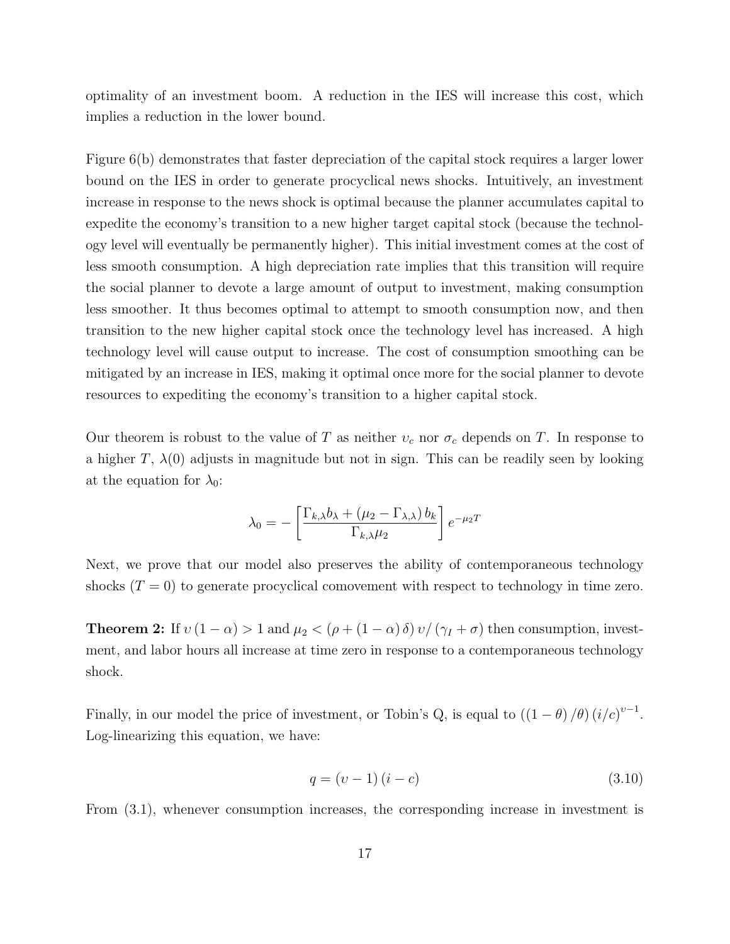optimality of an investment boom. A reduction in the IES will increase this cost, which implies a reduction in the lower bound.

Figure 6(b) demonstrates that faster depreciation of the capital stock requires a larger lower bound on the IES in order to generate procyclical news shocks. Intuitively, an investment increase in response to the news shock is optimal because the planner accumulates capital to expedite the economy's transition to a new higher target capital stock (because the technology level will eventually be permanently higher). This initial investment comes at the cost of less smooth consumption. A high depreciation rate implies that this transition will require the social planner to devote a large amount of output to investment, making consumption less smoother. It thus becomes optimal to attempt to smooth consumption now, and then transition to the new higher capital stock once the technology level has increased. A high technology level will cause output to increase. The cost of consumption smoothing can be mitigated by an increase in IES, making it optimal once more for the social planner to devote resources to expediting the economy's transition to a higher capital stock.

Our theorem is robust to the value of T as neither  $v_c$  nor  $\sigma_c$  depends on T. In response to a higher T,  $\lambda(0)$  adjusts in magnitude but not in sign. This can be readily seen by looking at the equation for  $\lambda_0$ :

$$
\lambda_0 = -\left[\frac{\Gamma_{k,\lambda}b_{\lambda} + (\mu_2 - \Gamma_{\lambda,\lambda})b_k}{\Gamma_{k,\lambda}\mu_2}\right]e^{-\mu_2T}
$$

Next, we prove that our model also preserves the ability of contemporaneous technology shocks  $(T = 0)$  to generate procyclical comovement with respect to technology in time zero.

**Theorem 2:** If  $v(1-\alpha) > 1$  and  $\mu_2 < (\rho + (1-\alpha)\delta)v/(\gamma_I + \sigma)$  then consumption, investment, and labor hours all increase at time zero in response to a contemporaneous technology shock.

Finally, in our model the price of investment, or Tobin's Q, is equal to  $((1 - \theta)/\theta) (i/c)^{v-1}$ . Log-linearizing this equation, we have:

$$
q = (v - 1)(i - c)
$$
\n(3.10)

From (3.1), whenever consumption increases, the corresponding increase in investment is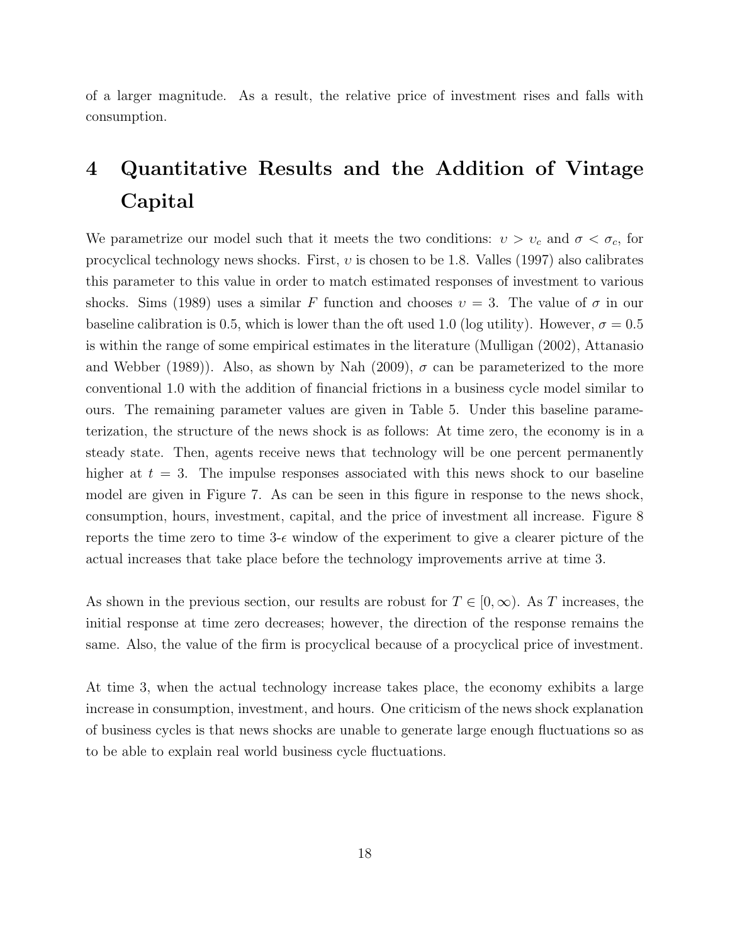of a larger magnitude. As a result, the relative price of investment rises and falls with consumption.

# 4 Quantitative Results and the Addition of Vintage Capital

We parametrize our model such that it meets the two conditions:  $v > v_c$  and  $\sigma < \sigma_c$ , for procyclical technology news shocks. First,  $v$  is chosen to be 1.8. Valles (1997) also calibrates this parameter to this value in order to match estimated responses of investment to various shocks. Sims (1989) uses a similar F function and chooses  $v = 3$ . The value of  $\sigma$  in our baseline calibration is 0.5, which is lower than the oft used 1.0 (log utility). However,  $\sigma = 0.5$ is within the range of some empirical estimates in the literature (Mulligan (2002), Attanasio and Webber (1989)). Also, as shown by Nah (2009),  $\sigma$  can be parameterized to the more conventional 1.0 with the addition of financial frictions in a business cycle model similar to ours. The remaining parameter values are given in Table 5. Under this baseline parameterization, the structure of the news shock is as follows: At time zero, the economy is in a steady state. Then, agents receive news that technology will be one percent permanently higher at  $t = 3$ . The impulse responses associated with this news shock to our baseline model are given in Figure 7. As can be seen in this figure in response to the news shock, consumption, hours, investment, capital, and the price of investment all increase. Figure 8 reports the time zero to time 3- $\epsilon$  window of the experiment to give a clearer picture of the actual increases that take place before the technology improvements arrive at time 3.

As shown in the previous section, our results are robust for  $T \in [0,\infty)$ . As T increases, the initial response at time zero decreases; however, the direction of the response remains the same. Also, the value of the firm is procyclical because of a procyclical price of investment.

At time 3, when the actual technology increase takes place, the economy exhibits a large increase in consumption, investment, and hours. One criticism of the news shock explanation of business cycles is that news shocks are unable to generate large enough fluctuations so as to be able to explain real world business cycle fluctuations.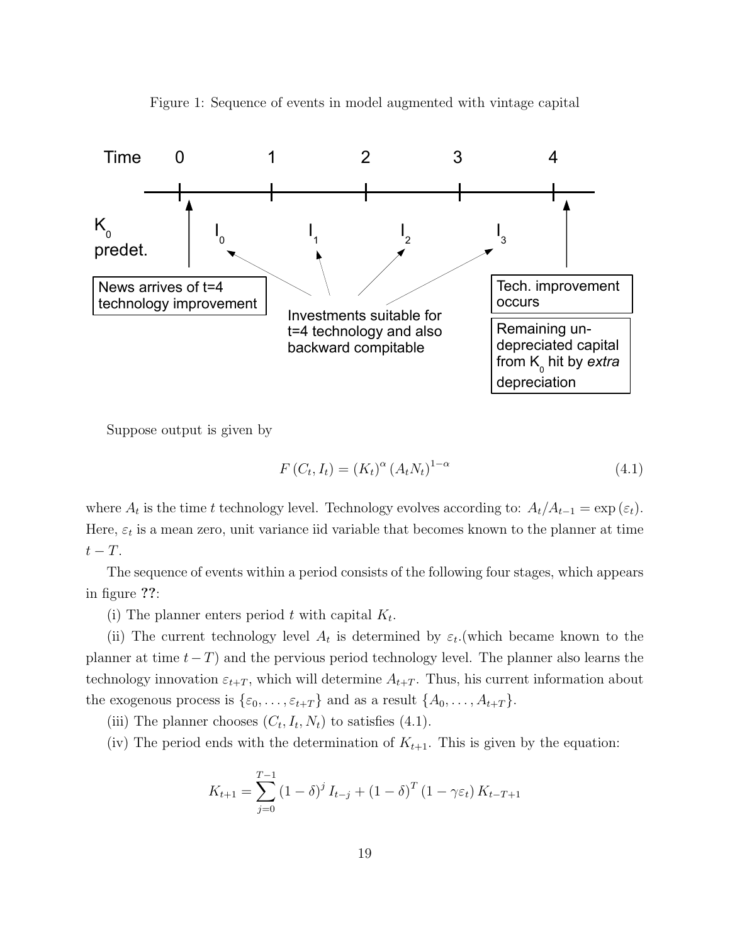

Figure 1: Sequence of events in model augmented with vintage capital

Suppose output is given by

$$
F(C_t, I_t) = (K_t)^{\alpha} (A_t N_t)^{1-\alpha}
$$
\n(4.1)

where  $A_t$  is the time t technology level. Technology evolves according to:  $A_t/A_{t-1} = \exp{(\varepsilon_t)}$ . Here,  $\varepsilon_t$  is a mean zero, unit variance iid variable that becomes known to the planner at time  $t-T$ .

The sequence of events within a period consists of the following four stages, which appears in figure ??:

(i) The planner enters period t with capital  $K_t$ .

(ii) The current technology level  $A_t$  is determined by  $\varepsilon_t$ . (which became known to the planner at time  $t-T$ ) and the pervious period technology level. The planner also learns the technology innovation  $\varepsilon_{t+T}$ , which will determine  $A_{t+T}$ . Thus, his current information about the exogenous process is  $\{\varepsilon_0, \ldots, \varepsilon_{t+T}\}\$  and as a result  $\{A_0, \ldots, A_{t+T}\}.$ 

- (iii) The planner chooses  $(C_t, I_t, N_t)$  to satisfies (4.1).
- (iv) The period ends with the determination of  $K_{t+1}$ . This is given by the equation:

$$
K_{t+1} = \sum_{j=0}^{T-1} (1 - \delta)^j I_{t-j} + (1 - \delta)^T (1 - \gamma \varepsilon_t) K_{t-T+1}
$$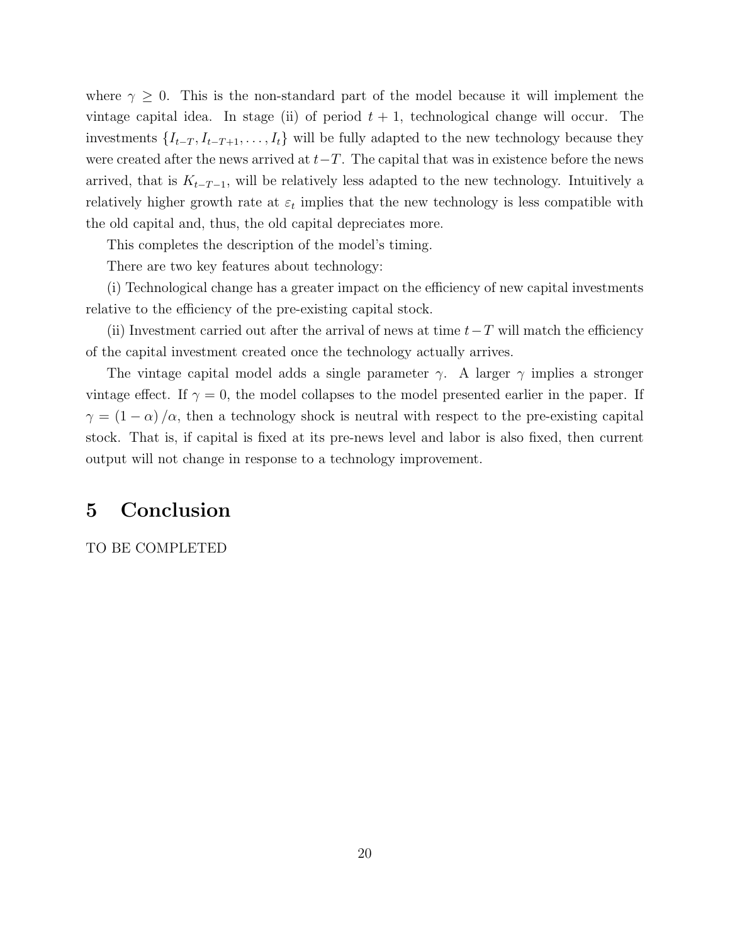where  $\gamma \geq 0$ . This is the non-standard part of the model because it will implement the vintage capital idea. In stage (ii) of period  $t + 1$ , technological change will occur. The investments  $\{I_{t-T}, I_{t-T+1}, \ldots, I_t\}$  will be fully adapted to the new technology because they were created after the news arrived at  $t-T$ . The capital that was in existence before the news arrived, that is  $K_{t-T-1}$ , will be relatively less adapted to the new technology. Intuitively a relatively higher growth rate at  $\varepsilon_t$  implies that the new technology is less compatible with the old capital and, thus, the old capital depreciates more.

This completes the description of the model's timing.

There are two key features about technology:

(i) Technological change has a greater impact on the efficiency of new capital investments relative to the efficiency of the pre-existing capital stock.

(ii) Investment carried out after the arrival of news at time  $t-T$  will match the efficiency of the capital investment created once the technology actually arrives.

The vintage capital model adds a single parameter  $\gamma$ . A larger  $\gamma$  implies a stronger vintage effect. If  $\gamma = 0$ , the model collapses to the model presented earlier in the paper. If  $\gamma = (1 - \alpha) / \alpha$ , then a technology shock is neutral with respect to the pre-existing capital stock. That is, if capital is fixed at its pre-news level and labor is also fixed, then current output will not change in response to a technology improvement.

## 5 Conclusion

#### TO BE COMPLETED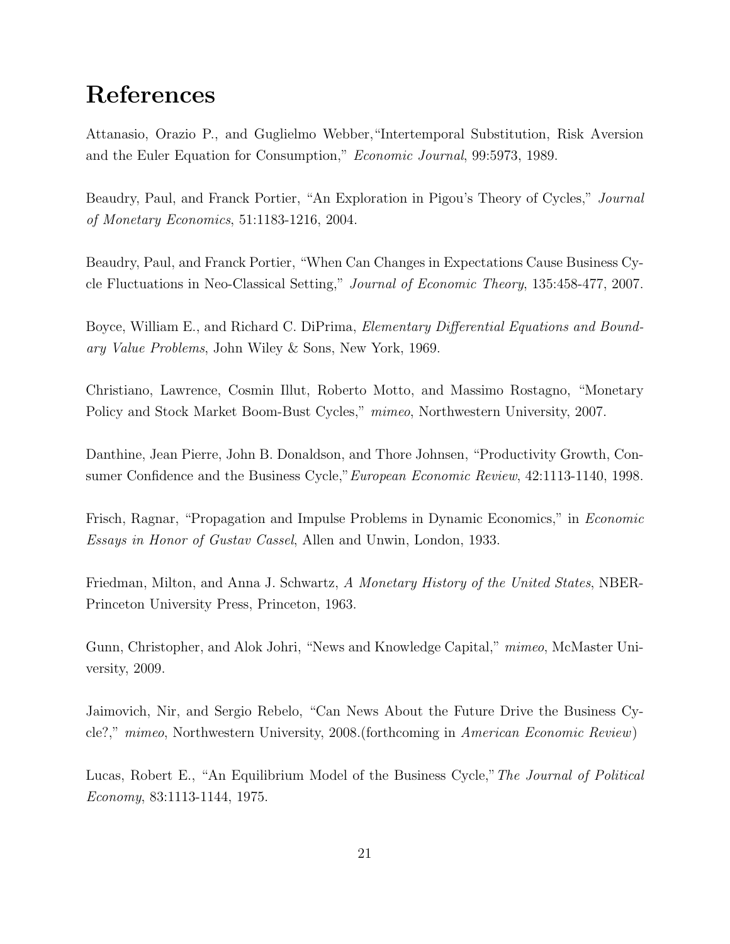# References

Attanasio, Orazio P., and Guglielmo Webber,"Intertemporal Substitution, Risk Aversion and the Euler Equation for Consumption," Economic Journal, 99:5973, 1989.

Beaudry, Paul, and Franck Portier, "An Exploration in Pigou's Theory of Cycles," Journal of Monetary Economics, 51:1183-1216, 2004.

Beaudry, Paul, and Franck Portier, "When Can Changes in Expectations Cause Business Cycle Fluctuations in Neo-Classical Setting," Journal of Economic Theory, 135:458-477, 2007.

Boyce, William E., and Richard C. DiPrima, *Elementary Differential Equations and Bound*ary Value Problems, John Wiley & Sons, New York, 1969.

Christiano, Lawrence, Cosmin Illut, Roberto Motto, and Massimo Rostagno, "Monetary Policy and Stock Market Boom-Bust Cycles," mimeo, Northwestern University, 2007.

Danthine, Jean Pierre, John B. Donaldson, and Thore Johnsen, "Productivity Growth, Consumer Confidence and the Business Cycle,"European Economic Review, 42:1113-1140, 1998.

Frisch, Ragnar, "Propagation and Impulse Problems in Dynamic Economics," in Economic Essays in Honor of Gustav Cassel, Allen and Unwin, London, 1933.

Friedman, Milton, and Anna J. Schwartz, A Monetary History of the United States, NBER-Princeton University Press, Princeton, 1963.

Gunn, Christopher, and Alok Johri, "News and Knowledge Capital," mimeo, McMaster University, 2009.

Jaimovich, Nir, and Sergio Rebelo, "Can News About the Future Drive the Business Cycle?," mimeo, Northwestern University, 2008.(forthcoming in American Economic Review)

Lucas, Robert E., "An Equilibrium Model of the Business Cycle,"The Journal of Political Economy, 83:1113-1144, 1975.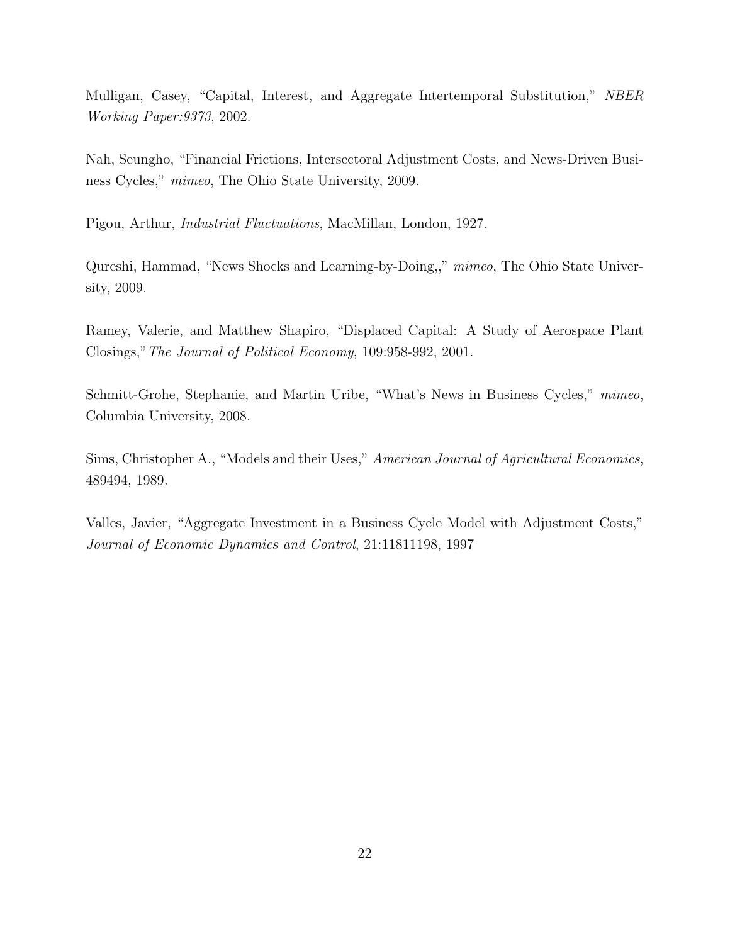Mulligan, Casey, "Capital, Interest, and Aggregate Intertemporal Substitution," NBER Working Paper:9373, 2002.

Nah, Seungho, "Financial Frictions, Intersectoral Adjustment Costs, and News-Driven Business Cycles," mimeo, The Ohio State University, 2009.

Pigou, Arthur, Industrial Fluctuations, MacMillan, London, 1927.

Qureshi, Hammad, "News Shocks and Learning-by-Doing,," mimeo, The Ohio State University, 2009.

Ramey, Valerie, and Matthew Shapiro, "Displaced Capital: A Study of Aerospace Plant Closings,"The Journal of Political Economy, 109:958-992, 2001.

Schmitt-Grohe, Stephanie, and Martin Uribe, "What's News in Business Cycles," mimeo, Columbia University, 2008.

Sims, Christopher A., "Models and their Uses," American Journal of Agricultural Economics, 489494, 1989.

Valles, Javier, "Aggregate Investment in a Business Cycle Model with Adjustment Costs," Journal of Economic Dynamics and Control, 21:11811198, 1997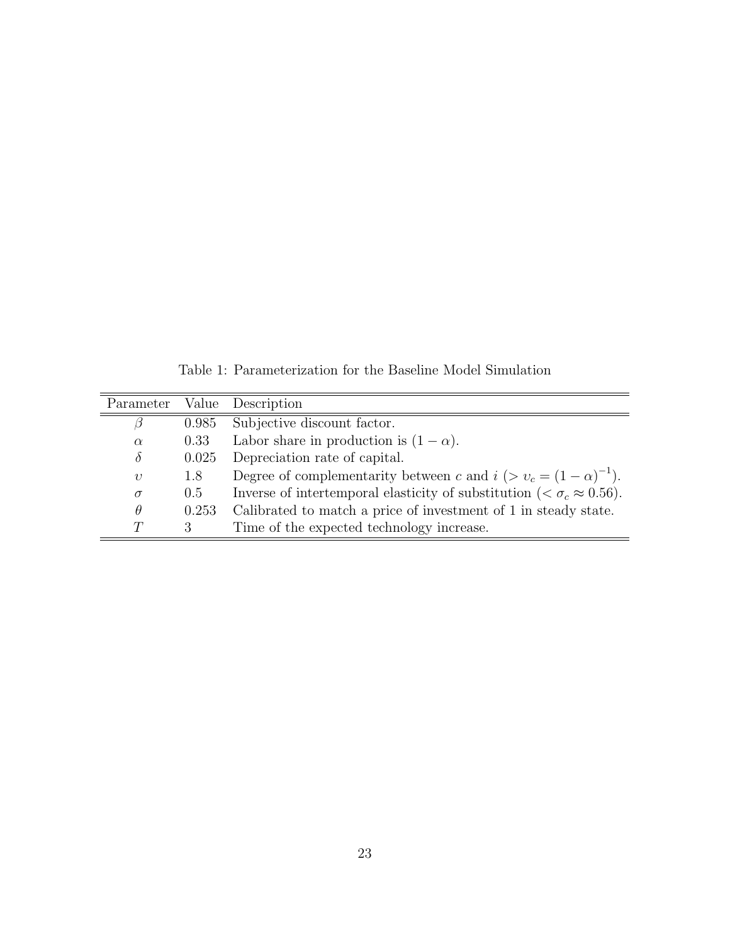Table 1: Parameterization for the Baseline Model Simulation

| Parameter  |       | Value Description                                                                      |
|------------|-------|----------------------------------------------------------------------------------------|
| ß          | 0.985 | Subjective discount factor.                                                            |
| $\alpha$   | 0.33  | Labor share in production is $(1 - \alpha)$ .                                          |
| $\delta$   | 0.025 | Depreciation rate of capital.                                                          |
| $\upsilon$ | 1.8   | Degree of complementarity between c and $i > v_c = (1 - \alpha)^{-1}$ .                |
| $\sigma$   | 0.5   | Inverse of intertemporal elasticity of substitution ( $\zeta \sigma_c \approx 0.56$ ). |
| $\theta$   | 0.253 | Calibrated to match a price of investment of 1 in steady state.                        |
| $\tau$     | 3     | Time of the expected technology increase.                                              |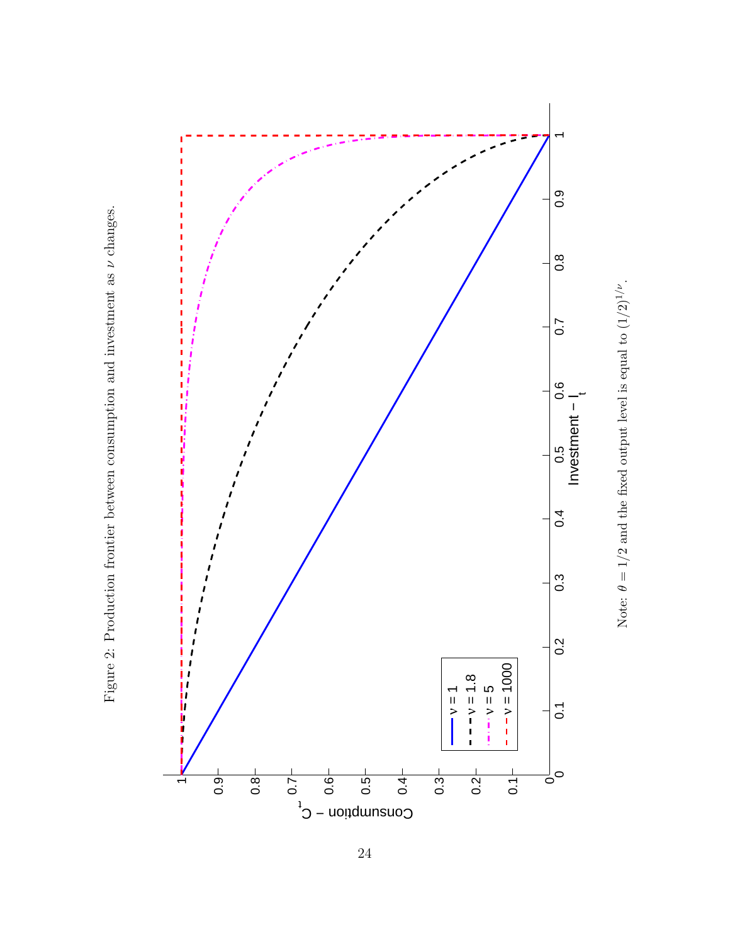



Note: θ $\theta = 1/2$  and the fixed output level is equal to  $(1/2)$ 1/ν .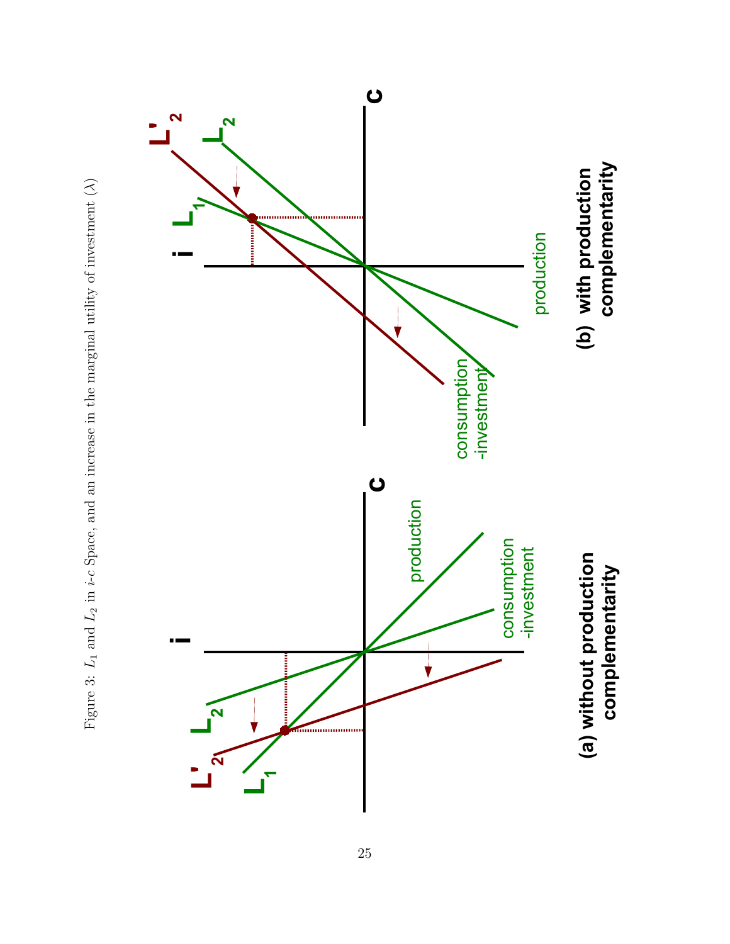

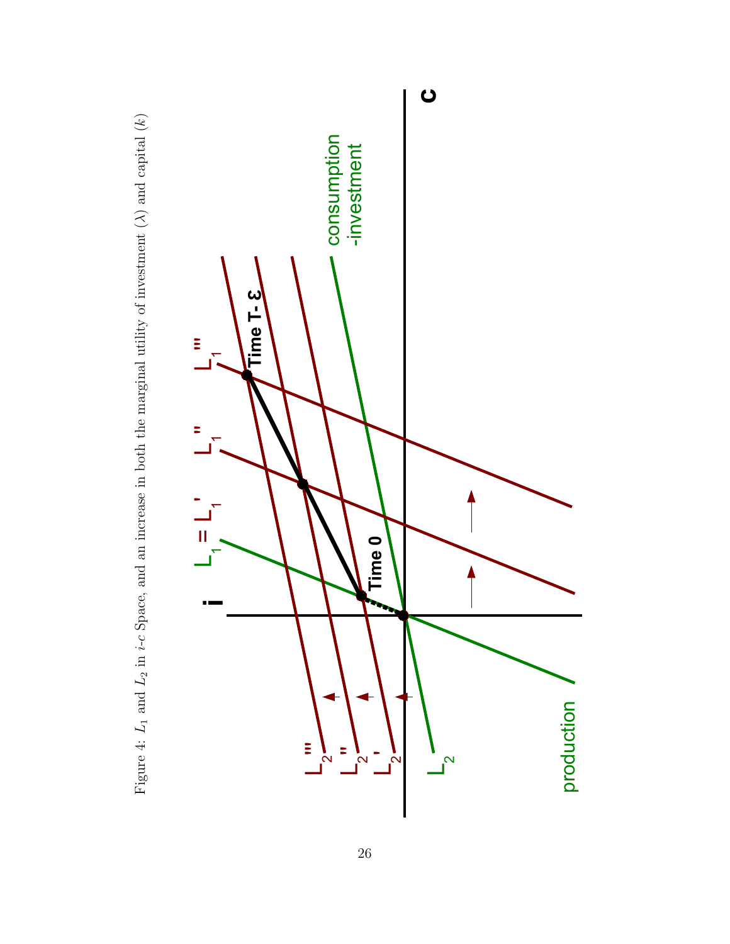

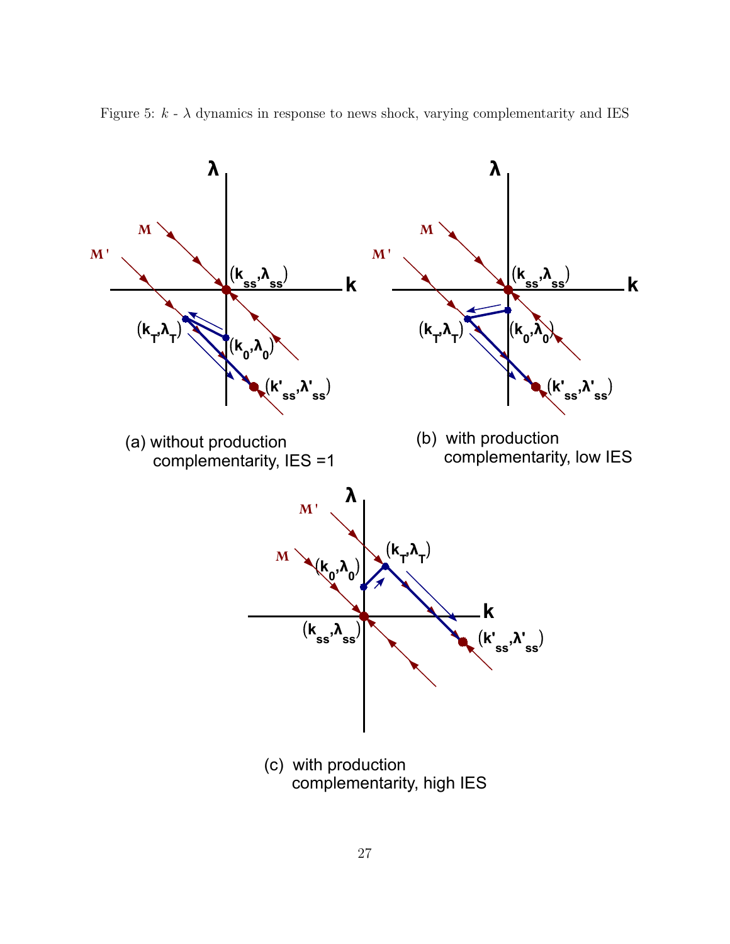

Figure 5:  $k - \lambda$  dynamics in response to news shock, varying complementarity and IES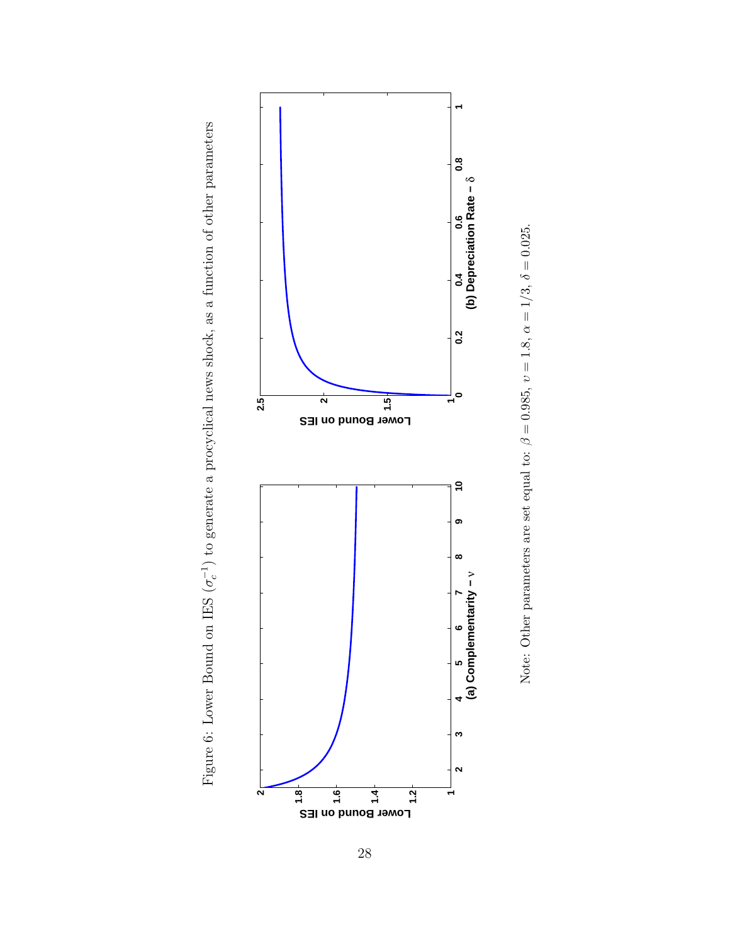

Figure 6: Lower Bound on IES ( $\sigma_c^{-1}$ ) to generate a procyclical news shock, as a function of other parameters

Figure 6: Lower Bound on IES  $(\sigma_c^{-1})$  to generate a procyclical news shock, as a function of other parameters



Note: Other parameters are set equal to:  $\beta = 0.985$ ,  $v = 1.8$ ,  $\alpha = 1/3$ ,  $\delta = 0.025$ .

28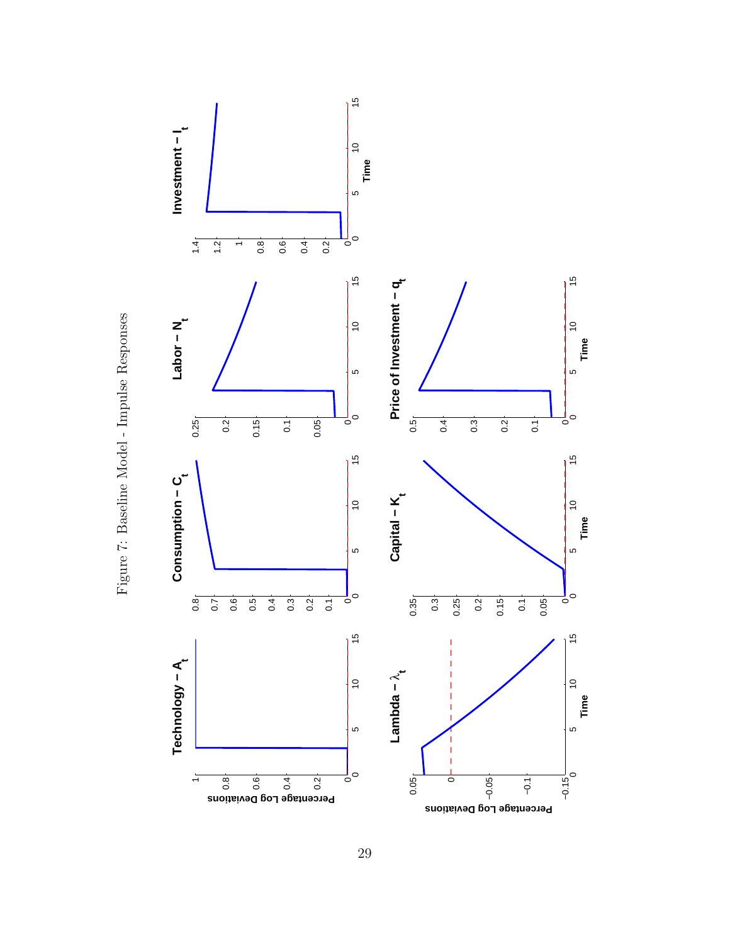

Figure 7: Baseline Model - Impulse Responses Figure 7: Baseline Model - Impulse Responses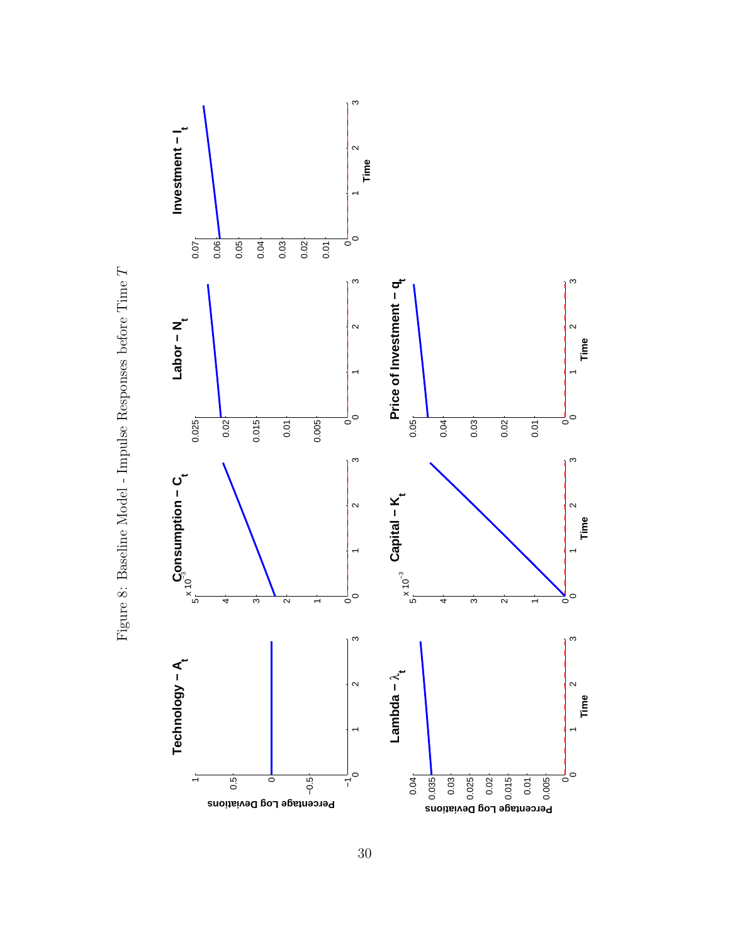

Figure 8: Baseline Model - Impulse Responses before Time Figure 8: Baseline Model - Impulse Responses before Time ${\cal T}$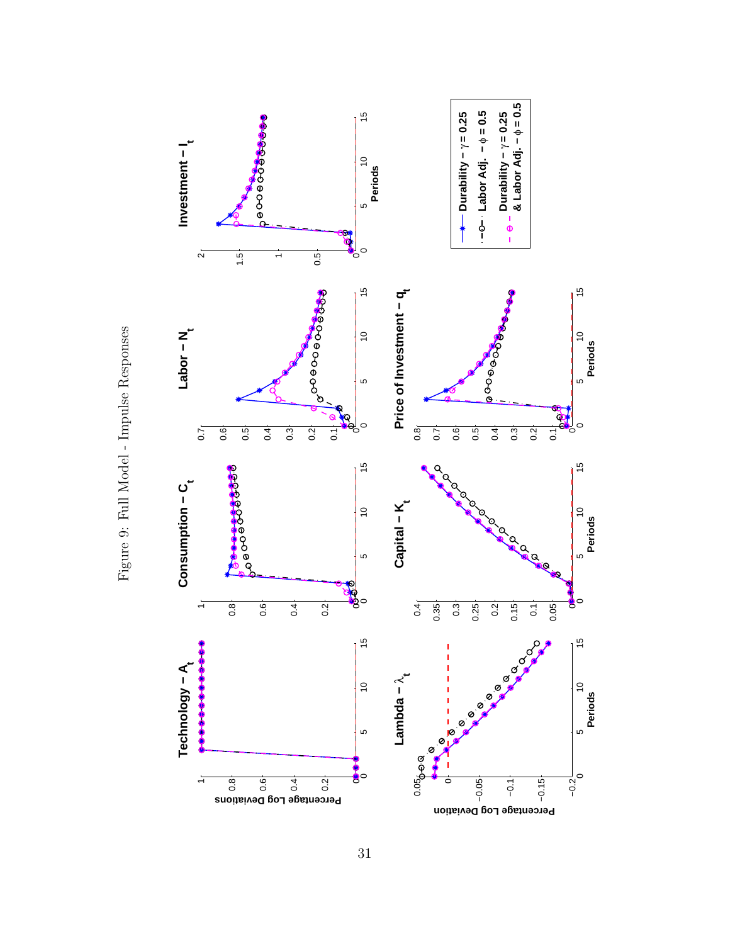

Figure 9: Full Model - Impulse Responses Figure 9: Full Model - Impulse Responses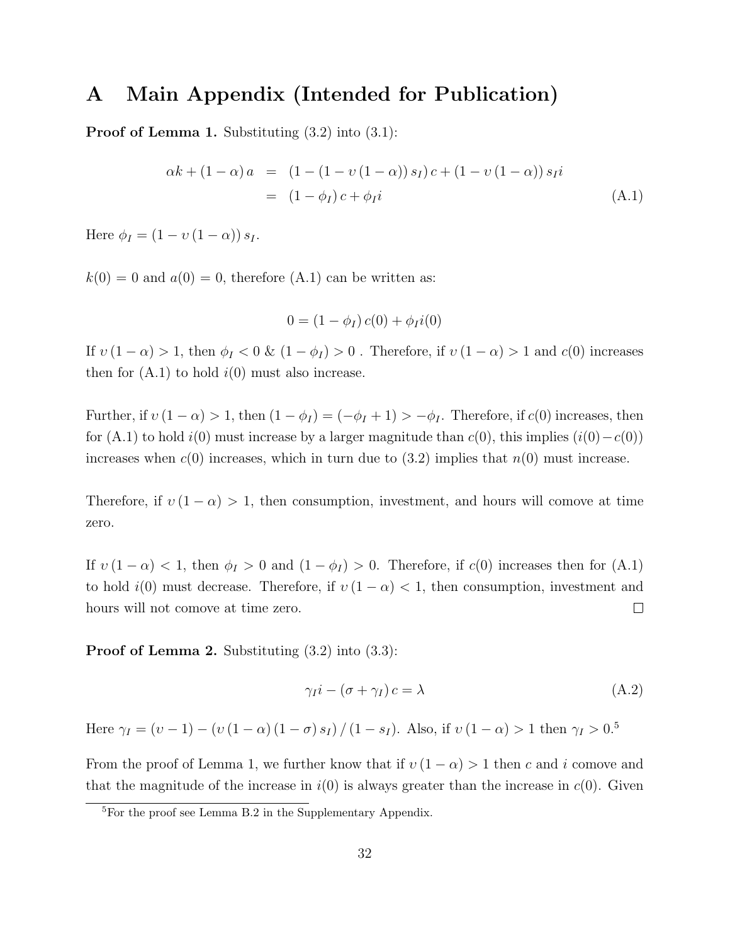## A Main Appendix (Intended for Publication)

**Proof of Lemma 1.** Substituting  $(3.2)$  into  $(3.1)$ :

$$
\alpha k + (1 - \alpha) a = (1 - (1 - v(1 - \alpha)) s_I) c + (1 - v(1 - \alpha)) s_I i
$$
  
= 
$$
(1 - \phi_I) c + \phi_I i
$$
 (A.1)

Here  $\phi_I = (1 - v (1 - \alpha)) s_I$ .

 $k(0) = 0$  and  $a(0) = 0$ , therefore (A.1) can be written as:

$$
0 = (1 - \phi_I) c(0) + \phi_I i(0)
$$

If  $v(1-\alpha) > 1$ , then  $\phi_I < 0$  &  $(1-\phi_I) > 0$ . Therefore, if  $v(1-\alpha) > 1$  and  $c(0)$  increases then for  $(A.1)$  to hold  $i(0)$  must also increase.

Further, if  $v(1-\alpha) > 1$ , then  $(1 - \phi_I) = (-\phi_I + 1) > -\phi_I$ . Therefore, if  $c(0)$  increases, then for (A.1) to hold  $i(0)$  must increase by a larger magnitude than  $c(0)$ , this implies  $(i(0)-c(0))$ increases when  $c(0)$  increases, which in turn due to  $(3.2)$  implies that  $n(0)$  must increase.

Therefore, if  $v(1-\alpha) > 1$ , then consumption, investment, and hours will comove at time zero.

If  $v(1-\alpha) < 1$ , then  $\phi_I > 0$  and  $(1-\phi_I) > 0$ . Therefore, if  $c(0)$  increases then for  $(A.1)$ to hold  $i(0)$  must decrease. Therefore, if  $v(1-\alpha) < 1$ , then consumption, investment and hours will not comove at time zero.  $\Box$ 

**Proof of Lemma 2.** Substituting  $(3.2)$  into  $(3.3)$ :

$$
\gamma_I i - (\sigma + \gamma_I) c = \lambda \tag{A.2}
$$

Here  $\gamma_I = (v - 1) - (v (1 - \alpha) (1 - \sigma) s_I) / (1 - s_I)$ . Also, if  $v (1 - \alpha) > 1$  then  $\gamma_I > 0.5$ 

From the proof of Lemma 1, we further know that if  $v(1-\alpha) > 1$  then c and i comove and that the magnitude of the increase in  $i(0)$  is always greater than the increase in  $c(0)$ . Given

 $5$ For the proof see Lemma B.2 in the Supplementary Appendix.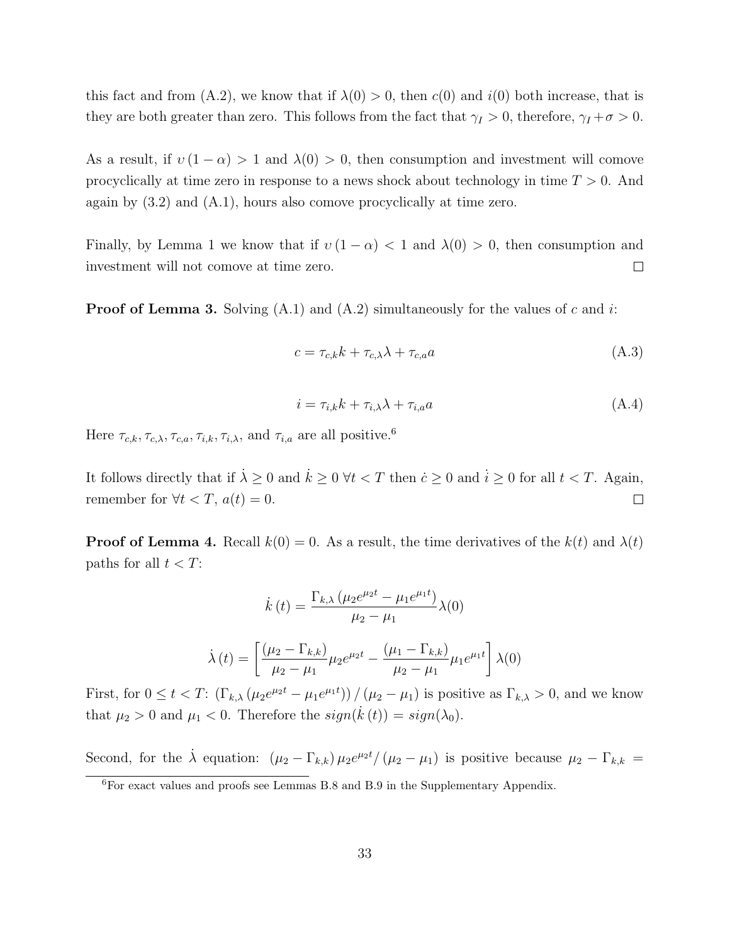this fact and from (A.2), we know that if  $\lambda(0) > 0$ , then  $c(0)$  and  $i(0)$  both increase, that is they are both greater than zero. This follows from the fact that  $\gamma_I > 0$ , therefore,  $\gamma_I + \sigma > 0$ .

As a result, if  $v(1-\alpha) > 1$  and  $\lambda(0) > 0$ , then consumption and investment will comove procyclically at time zero in response to a news shock about technology in time  $T > 0$ . And again by (3.2) and (A.1), hours also comove procyclically at time zero.

Finally, by Lemma 1 we know that if  $v(1-\alpha) < 1$  and  $\lambda(0) > 0$ , then consumption and investment will not comove at time zero.  $\Box$ 

**Proof of Lemma 3.** Solving  $(A.1)$  and  $(A.2)$  simultaneously for the values of c and i:

$$
c = \tau_{c,k}k + \tau_{c,\lambda}\lambda + \tau_{c,a}a \tag{A.3}
$$

$$
i = \tau_{i,k}k + \tau_{i,\lambda}\lambda + \tau_{i,a}a \tag{A.4}
$$

Here  $\tau_{c,k}$ ,  $\tau_{c,\lambda}$ ,  $\tau_{c,a}$ ,  $\tau_{i,k}$ ,  $\tau_{i,\lambda}$ , and  $\tau_{i,a}$  are all positive.<sup>6</sup>

It follows directly that if  $\lambda \geq 0$  and  $\dot{k} \geq 0$   $\forall t < T$  then  $\dot{c} \geq 0$  and  $\dot{i} \geq 0$  for all  $t < T$ . Again, remember for  $\forall t < T, a(t) = 0.$  $\Box$ 

**Proof of Lemma 4.** Recall  $k(0) = 0$ . As a result, the time derivatives of the  $k(t)$  and  $\lambda(t)$ paths for all  $t < T$ :

$$
\dot{k}(t) = \frac{\Gamma_{k,\lambda} (\mu_2 e^{\mu_2 t} - \mu_1 e^{\mu_1 t})}{\mu_2 - \mu_1} \lambda(0)
$$

$$
\dot{\lambda}(t) = \left[ \frac{(\mu_2 - \Gamma_{k,k})}{\mu_2 - \mu_1} \mu_2 e^{\mu_2 t} - \frac{(\mu_1 - \Gamma_{k,k})}{\mu_2 - \mu_1} \mu_1 e^{\mu_1 t} \right] \lambda(0)
$$

First, for  $0 \le t < T$ :  $(\Gamma_{k,\lambda}(\mu_2 e^{\mu_2 t} - \mu_1 e^{\mu_1 t})) / (\mu_2 - \mu_1)$  is positive as  $\Gamma_{k,\lambda} > 0$ , and we know that  $\mu_2 > 0$  and  $\mu_1 < 0$ . Therefore the  $sign(\dot{k}(t)) = sign(\lambda_0)$ .

Second, for the  $\dot{\lambda}$  equation:  $(\mu_2 - \Gamma_{k,k}) \mu_2 e^{\mu_2 t} / (\mu_2 - \mu_1)$  is positive because  $\mu_2 - \Gamma_{k,k}$ 

<sup>6</sup>For exact values and proofs see Lemmas B.8 and B.9 in the Supplementary Appendix.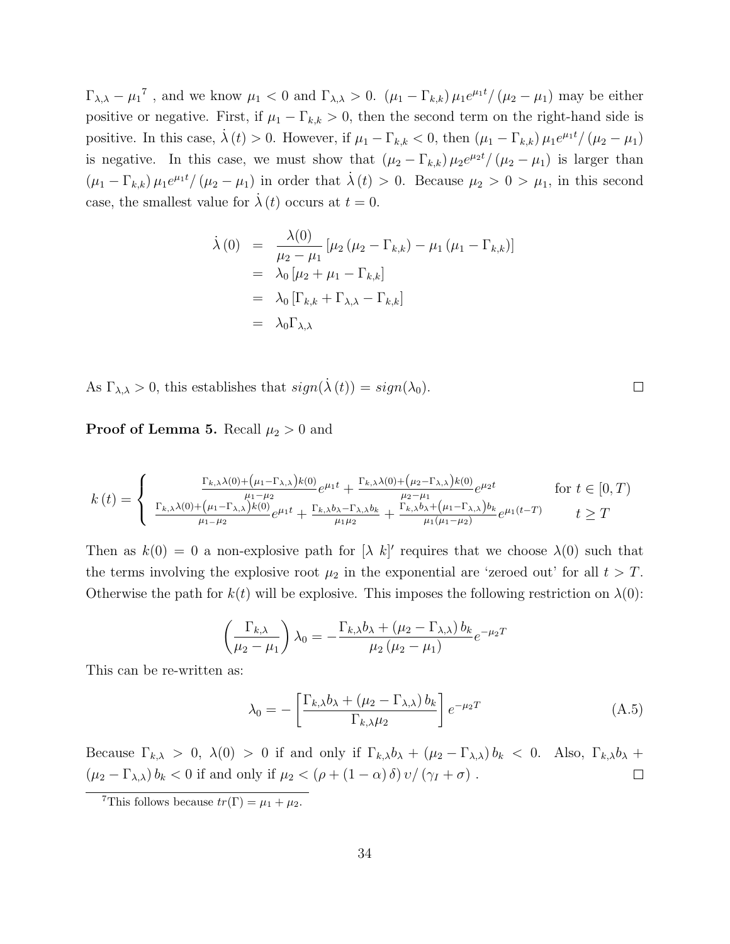$\Gamma_{\lambda,\lambda} - \mu_1^{\tau}$ , and we know  $\mu_1 < 0$  and  $\Gamma_{\lambda,\lambda} > 0$ .  $(\mu_1 - \Gamma_{k,k}) \mu_1 e^{\mu_1 t} / (\mu_2 - \mu_1)$  may be either positive or negative. First, if  $\mu_1 - \Gamma_{k,k} > 0$ , then the second term on the right-hand side is positive. In this case,  $\dot{\lambda}(t) > 0$ . However, if  $\mu_1 - \Gamma_{k,k} < 0$ , then  $(\mu_1 - \Gamma_{k,k}) \mu_1 e^{\mu_1 t} / (\mu_2 - \mu_1)$ is negative. In this case, we must show that  $(\mu_2 - \Gamma_{k,k}) \mu_2 e^{\mu_2 t} / (\mu_2 - \mu_1)$  is larger than  $(\mu_1 - \Gamma_{k,k}) \mu_1 e^{\mu_1 t} / (\mu_2 - \mu_1)$  in order that  $\dot{\lambda}(t) > 0$ . Because  $\mu_2 > 0 > \mu_1$ , in this second case, the smallest value for  $\lambda(t)$  occurs at  $t = 0$ .

$$
\dot{\lambda}(0) = \frac{\lambda(0)}{\mu_2 - \mu_1} [\mu_2 (\mu_2 - \Gamma_{k,k}) - \mu_1 (\mu_1 - \Gamma_{k,k})]
$$
  
=  $\lambda_0 [\mu_2 + \mu_1 - \Gamma_{k,k}]$   
=  $\lambda_0 [\Gamma_{k,k} + \Gamma_{\lambda,\lambda} - \Gamma_{k,k}]$   
=  $\lambda_0 \Gamma_{\lambda,\lambda}$ 

As  $\Gamma_{\lambda,\lambda} > 0$ , this establishes that  $sign(\lambda(t)) = sign(\lambda_0)$ .

**Proof of Lemma 5.** Recall  $\mu_2 > 0$  and

$$
k(t) = \begin{cases} \frac{\Gamma_{k,\lambda}\lambda(0) + (\mu_1 - \Gamma_{\lambda,\lambda})k(0)}{\mu_1 - \mu_2}e^{\mu_1 t} + \frac{\Gamma_{k,\lambda}\lambda(0) + (\mu_2 - \Gamma_{\lambda,\lambda})k(0)}{\mu_2 - \mu_1}e^{\mu_2 t} & \text{for } t \in [0, T) \\ \frac{\Gamma_{k,\lambda}\lambda(0) + (\mu_1 - \Gamma_{\lambda,\lambda})k(0)}{\mu_1 - \mu_2}e^{\mu_1 t} + \frac{\Gamma_{k,\lambda}b_{\lambda} - \Gamma_{\lambda,\lambda}b_{k}}{\mu_1 \mu_2} + \frac{\Gamma_{k,\lambda}b_{\lambda} + (\mu_1 - \Gamma_{\lambda,\lambda})b_{k}}{\mu_1(\mu_1 - \mu_2)}e^{\mu_1(t - T)} & t \geq T \end{cases}
$$

Then as  $k(0) = 0$  a non-explosive path for  $[\lambda \; k]'$  requires that we choose  $\lambda(0)$  such that the terms involving the explosive root  $\mu_2$  in the exponential are 'zeroed out' for all  $t > T$ . Otherwise the path for  $k(t)$  will be explosive. This imposes the following restriction on  $\lambda(0)$ :

$$
\left(\frac{\Gamma_{k,\lambda}}{\mu_2 - \mu_1}\right) \lambda_0 = -\frac{\Gamma_{k,\lambda} b_{\lambda} + (\mu_2 - \Gamma_{\lambda,\lambda}) b_k}{\mu_2 (\mu_2 - \mu_1)} e^{-\mu_2 T}
$$

This can be re-written as:

$$
\lambda_0 = -\left[\frac{\Gamma_{k,\lambda}b_{\lambda} + (\mu_2 - \Gamma_{\lambda,\lambda})b_k}{\Gamma_{k,\lambda}\mu_2}\right]e^{-\mu_2T}
$$
\n(A.5)

Because  $\Gamma_{k,\lambda} > 0$ ,  $\lambda(0) > 0$  if and only if  $\Gamma_{k,\lambda}b_{\lambda} + (\mu_2 - \Gamma_{\lambda,\lambda})b_k < 0$ . Also,  $\Gamma_{k,\lambda}b_{\lambda} +$  $(\mu_2 - \Gamma_{\lambda,\lambda}) b_k < 0$  if and only if  $\mu_2 < (\rho + (1 - \alpha) \delta) v / (\gamma_I + \sigma)$ .  $\Box$ 

 $\Box$ 

<sup>&</sup>lt;sup>7</sup>This follows because  $tr(\Gamma) = \mu_1 + \mu_2$ .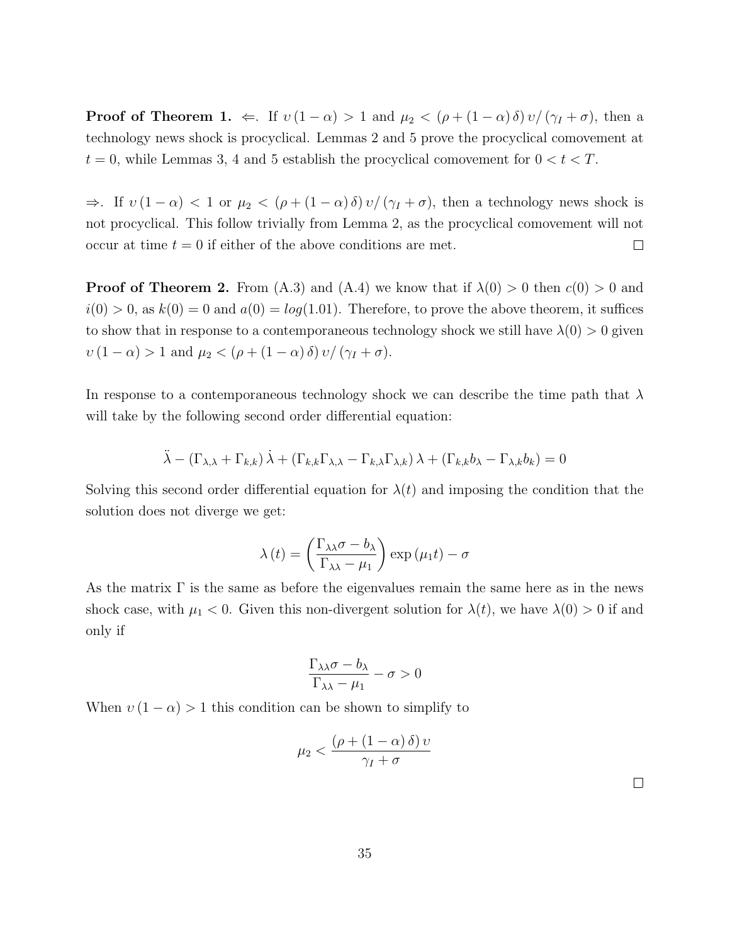**Proof of Theorem 1.**  $\Leftarrow$ . If  $v(1-\alpha) > 1$  and  $\mu_2 < (\rho + (1-\alpha)\delta)v/(\gamma_I + \sigma)$ , then a technology news shock is procyclical. Lemmas 2 and 5 prove the procyclical comovement at  $t = 0$ , while Lemmas 3, 4 and 5 establish the procyclical comovement for  $0 < t < T$ .

 $\Rightarrow$ . If  $v(1-\alpha) < 1$  or  $\mu_2 < (\rho + (1-\alpha)\delta)v/(\gamma_I + \sigma)$ , then a technology news shock is not procyclical. This follow trivially from Lemma 2, as the procyclical comovement will not occur at time  $t = 0$  if either of the above conditions are met.  $\Box$ 

**Proof of Theorem 2.** From (A.3) and (A.4) we know that if  $\lambda(0) > 0$  then  $c(0) > 0$  and  $i(0) > 0$ , as  $k(0) = 0$  and  $a(0) = log(1.01)$ . Therefore, to prove the above theorem, it suffices to show that in response to a contemporaneous technology shock we still have  $\lambda(0) > 0$  given  $v(1-\alpha) > 1$  and  $\mu_2 < (\rho + (1-\alpha)\delta)v/(\gamma_I + \sigma)$ .

In response to a contemporaneous technology shock we can describe the time path that  $\lambda$ will take by the following second order differential equation:

$$
\ddot{\lambda} - (\Gamma_{\lambda,\lambda} + \Gamma_{k,k}) \dot{\lambda} + (\Gamma_{k,k} \Gamma_{\lambda,\lambda} - \Gamma_{k,\lambda} \Gamma_{\lambda,k}) \lambda + (\Gamma_{k,k} b_{\lambda} - \Gamma_{\lambda,k} b_k) = 0
$$

Solving this second order differential equation for  $\lambda(t)$  and imposing the condition that the solution does not diverge we get:

$$
\lambda(t) = \left(\frac{\Gamma_{\lambda\lambda}\sigma - b_{\lambda}}{\Gamma_{\lambda\lambda} - \mu_1}\right) \exp\left(\mu_1 t\right) - \sigma
$$

As the matrix  $\Gamma$  is the same as before the eigenvalues remain the same here as in the news shock case, with  $\mu_1 < 0$ . Given this non-divergent solution for  $\lambda(t)$ , we have  $\lambda(0) > 0$  if and only if

$$
\frac{\Gamma_{\lambda\lambda}\sigma - b_{\lambda}}{\Gamma_{\lambda\lambda} - \mu_1} - \sigma > 0
$$

When  $v(1-\alpha) > 1$  this condition can be shown to simplify to

$$
\mu_2 < \frac{\left(\rho + \left(1 - \alpha\right)\delta\right)v}{\gamma_I + \sigma}
$$

 $\Box$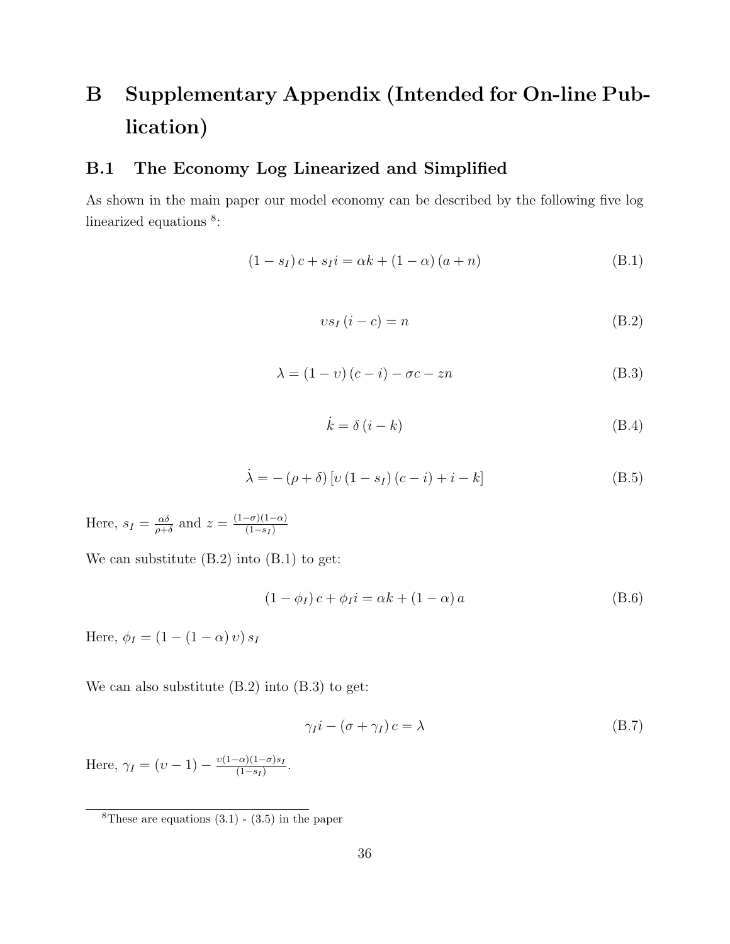# B Supplementary Appendix (Intended for On-line Publication)

### B.1 The Economy Log Linearized and Simplified

As shown in the main paper our model economy can be described by the following five log linearized equations<sup>8</sup>:

$$
(1 - s_I)c + s_I i = \alpha k + (1 - \alpha) (a + n)
$$
 (B.1)

$$
vs_I(i-c) = n
$$
 (B.2)

$$
\lambda = (1 - v) (c - i) - \sigma c - zn \tag{B.3}
$$

$$
\dot{k} = \delta \left( i - k \right) \tag{B.4}
$$

$$
\dot{\lambda} = -(\rho + \delta) [v (1 - s_I) (c - i) + i - k]
$$
\n(B.5)

Here,  $s_I = \frac{\alpha \delta}{\rho + \alpha}$  $\frac{\alpha\delta}{\rho+\delta}$  and  $z=\frac{(1-\sigma)(1-\alpha)}{(1-s_I)}$  $(1-s_I)$ 

We can substitute (B.2) into (B.1) to get:

$$
(1 - \phi_I)c + \phi_I i = \alpha k + (1 - \alpha) a \tag{B.6}
$$

Here,  $\phi_I = (1 - (1 - \alpha) v) s_I$ 

We can also substitute (B.2) into (B.3) to get:

$$
\gamma_I i - (\sigma + \gamma_I) c = \lambda \tag{B.7}
$$

Here,  $\gamma_I = (v - 1) - \frac{v(1 - \alpha)(1 - \sigma)s_I}{(1 - s_I)}$  $\frac{(-\alpha)(1-\sigma)s_I}{(1-s_I)}$ .

<sup>&</sup>lt;sup>8</sup>These are equations  $(3.1)$  -  $(3.5)$  in the paper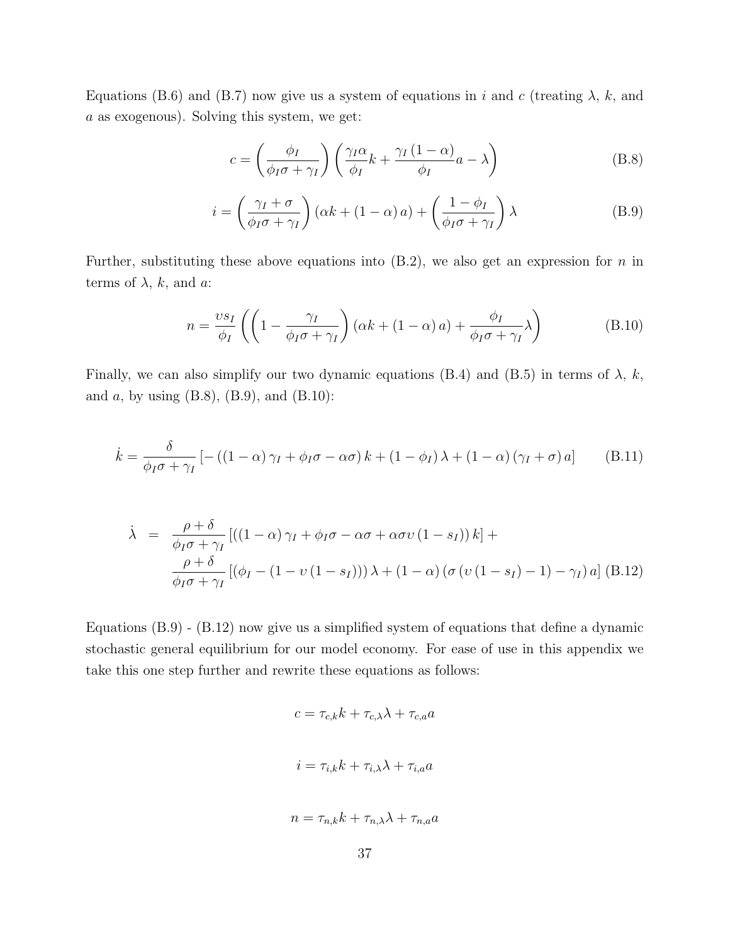Equations (B.6) and (B.7) now give us a system of equations in i and c (treating  $\lambda$ , k, and a as exogenous). Solving this system, we get:

$$
c = \left(\frac{\phi_I}{\phi_I \sigma + \gamma_I}\right) \left(\frac{\gamma_I \alpha}{\phi_I} k + \frac{\gamma_I (1 - \alpha)}{\phi_I} a - \lambda\right)
$$
(B.8)

$$
i = \left(\frac{\gamma_I + \sigma}{\phi_I \sigma + \gamma_I}\right) (\alpha k + (1 - \alpha) a) + \left(\frac{1 - \phi_I}{\phi_I \sigma + \gamma_I}\right) \lambda
$$
 (B.9)

Further, substituting these above equations into  $(B.2)$ , we also get an expression for n in terms of  $\lambda$ , k, and a:

$$
n = \frac{vs_I}{\phi_I} \left( \left( 1 - \frac{\gamma_I}{\phi_I \sigma + \gamma_I} \right) (\alpha k + (1 - \alpha) a) + \frac{\phi_I}{\phi_I \sigma + \gamma_I} \lambda \right)
$$
(B.10)

Finally, we can also simplify our two dynamic equations (B.4) and (B.5) in terms of  $\lambda$ , k, and  $a$ , by using (B.8), (B.9), and (B.10):

$$
\dot{k} = \frac{\delta}{\phi_I \sigma + \gamma_I} \left[ -\left( (1 - \alpha) \gamma_I + \phi_I \sigma - \alpha \sigma \right) k + \left( 1 - \phi_I \right) \lambda + \left( 1 - \alpha \right) \left( \gamma_I + \sigma \right) a \right]
$$
(B.11)

$$
\dot{\lambda} = \frac{\rho + \delta}{\phi_I \sigma + \gamma_I} \left[ \left( (1 - \alpha) \gamma_I + \phi_I \sigma - \alpha \sigma + \alpha \sigma \nu (1 - s_I) \right) k \right] +
$$
\n
$$
\frac{\rho + \delta}{\phi_I \sigma + \gamma_I} \left[ \left( \phi_I - (1 - \nu (1 - s_I)) \right) \lambda + (1 - \alpha) \left( \sigma \left( \nu (1 - s_I) - 1 \right) - \gamma_I \right) a \right] \text{(B.12)}
$$

Equations (B.9) - (B.12) now give us a simplified system of equations that define a dynamic stochastic general equilibrium for our model economy. For ease of use in this appendix we take this one step further and rewrite these equations as follows:

$$
c = \tau_{c,k}k + \tau_{c,\lambda}\lambda + \tau_{c,a}a
$$
  

$$
i = \tau_{i,k}k + \tau_{i,\lambda}\lambda + \tau_{i,a}a
$$
  

$$
n = \tau_{n,k}k + \tau_{n,\lambda}\lambda + \tau_{n,a}a
$$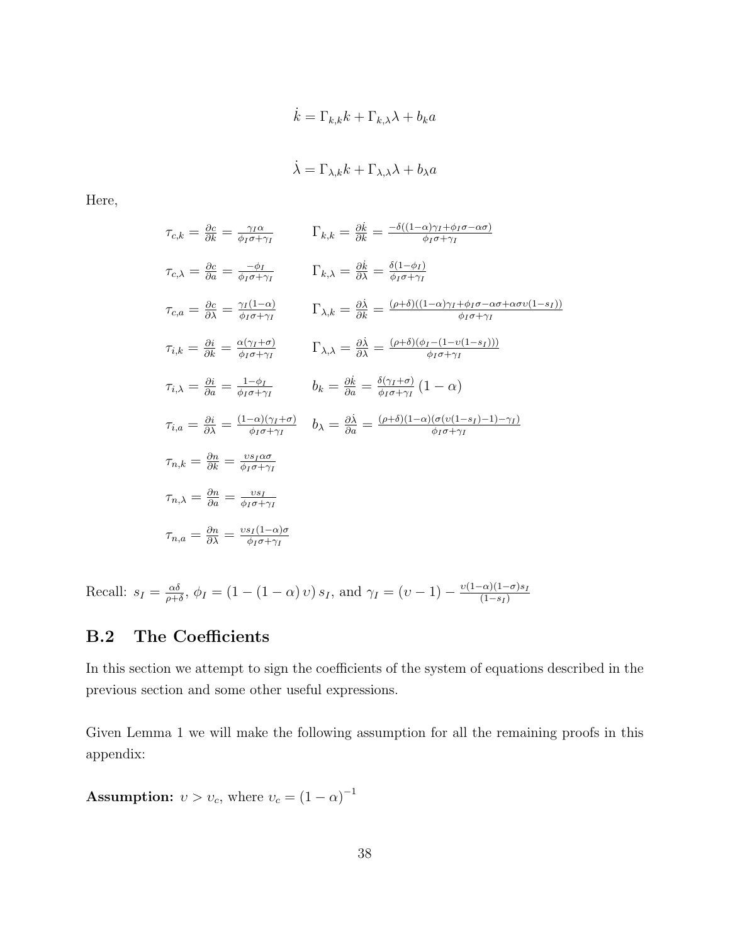$$
\dot{k} = \Gamma_{k,k} k + \Gamma_{k,\lambda} \lambda + b_k a
$$

$$
\dot{\lambda} = \Gamma_{\lambda,k} k + \Gamma_{\lambda,\lambda} \lambda + b_\lambda a
$$

Here,

$$
\tau_{c,k} = \frac{\partial c}{\partial k} = \frac{\gamma_I \alpha}{\phi_I \sigma + \gamma_I} \qquad \Gamma_{k,k} = \frac{\partial k}{\partial k} = \frac{-\delta((1-\alpha)\gamma_I + \phi_I \sigma - \alpha \sigma)}{\phi_I \sigma + \gamma_I}
$$
\n
$$
\tau_{c,\lambda} = \frac{\partial c}{\partial a} = \frac{-\phi_I}{\phi_I \sigma + \gamma_I} \qquad \Gamma_{k,\lambda} = \frac{\partial k}{\partial \lambda} = \frac{\delta(1-\phi_I)}{\phi_I \sigma + \gamma_I}
$$
\n
$$
\tau_{c,a} = \frac{\partial c}{\partial \lambda} = \frac{\gamma_I (1-\alpha)}{\phi_I \sigma + \gamma_I} \qquad \Gamma_{\lambda,k} = \frac{\partial \lambda}{\partial k} = \frac{(\rho + \delta)((1-\alpha)\gamma_I + \phi_I \sigma - \alpha \sigma + \alpha \sigma \nu (1-s_I))}{\phi_I \sigma + \gamma_I}
$$
\n
$$
\tau_{i,k} = \frac{\partial i}{\partial k} = \frac{\alpha(\gamma_I + \sigma)}{\phi_I \sigma + \gamma_I} \qquad \Gamma_{\lambda,\lambda} = \frac{\partial \lambda}{\partial \lambda} = \frac{(\rho + \delta)(\phi_I - (1-\nu(1-s_I)))}{\phi_I \sigma + \gamma_I}
$$
\n
$$
\tau_{i,\lambda} = \frac{\partial i}{\partial a} = \frac{1-\phi_I}{\phi_I \sigma + \gamma_I} \qquad b_k = \frac{\partial k}{\partial a} = \frac{\delta(\gamma_I + \sigma)}{\phi_I \sigma + \gamma_I} (1-\alpha)
$$
\n
$$
\tau_{n,k} = \frac{\partial n}{\partial \lambda} = \frac{(1-\alpha)(\gamma_I + \sigma)}{\phi_I \sigma + \gamma_I} \qquad b_\lambda = \frac{\partial \lambda}{\partial a} = \frac{(\rho + \delta)(1-\alpha)(\sigma(\nu(1-s_I) - 1) - \gamma_I)}{\phi_I \sigma + \gamma_I}
$$
\n
$$
\tau_{n,\lambda} = \frac{\partial n}{\partial a} = \frac{\nu s_I}{\phi_I \sigma + \gamma_I}
$$
\n
$$
\tau_{n,\alpha} = \frac{\partial n}{\partial \lambda} = \frac{\nu s_I (1-\alpha)\sigma}{\phi_I \sigma + \gamma_I}
$$

Recall:  $s_I = \frac{\alpha \delta}{\rho + \alpha}$  $\frac{\alpha\delta}{\rho+\delta}$ ,  $\phi_I = (1 - (1 - \alpha)v)s_I$ , and  $\gamma_I = (v - 1) - \frac{v(1-\alpha)(1-\sigma)s_I}{(1-s_I)}$  $(1-s_I)$ 

### B.2 The Coefficients

In this section we attempt to sign the coefficients of the system of equations described in the previous section and some other useful expressions.

Given Lemma 1 we will make the following assumption for all the remaining proofs in this appendix:

**Assumption:**  $v > v_c$ , where  $v_c = (1 - \alpha)^{-1}$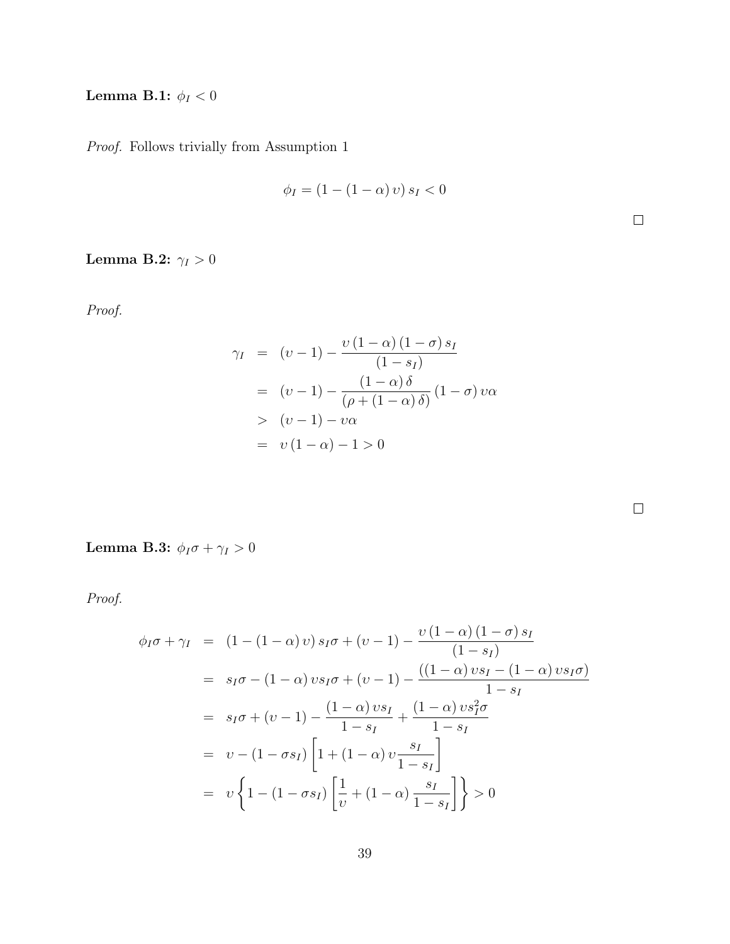## Lemma B.1:  $\phi_I < 0$

Proof. Follows trivially from Assumption 1

$$
\phi_I = (1 - (1 - \alpha) v) s_I < 0
$$

## Lemma B.2:  $\gamma_I>0$

Proof.

$$
\gamma_I = (v-1) - \frac{v(1-\alpha)(1-\sigma)s_I}{(1-s_I)}
$$
  
=  $(v-1) - \frac{(1-\alpha)\delta}{(\rho+(1-\alpha)\delta)} (1-\sigma) v\alpha$   
>  $(v-1) - v\alpha$   
=  $v(1-\alpha) - 1 > 0$ 

Lemma B.3:  $\phi_I \sigma + \gamma_I > 0$ 

$$
\phi_I \sigma + \gamma_I = (1 - (1 - \alpha) v) s_I \sigma + (v - 1) - \frac{v (1 - \alpha) (1 - \sigma) s_I}{(1 - s_I)}
$$
  
\n
$$
= s_I \sigma - (1 - \alpha) v s_I \sigma + (v - 1) - \frac{((1 - \alpha) v s_I - (1 - \alpha) v s_I \sigma)}{1 - s_I}
$$
  
\n
$$
= s_I \sigma + (v - 1) - \frac{(1 - \alpha) v s_I}{1 - s_I} + \frac{(1 - \alpha) v s_I^2 \sigma}{1 - s_I}
$$
  
\n
$$
= v - (1 - \sigma s_I) \left[ 1 + (1 - \alpha) v \frac{s_I}{1 - s_I} \right]
$$
  
\n
$$
= v \left\{ 1 - (1 - \sigma s_I) \left[ \frac{1}{v} + (1 - \alpha) \frac{s_I}{1 - s_I} \right] \right\} > 0
$$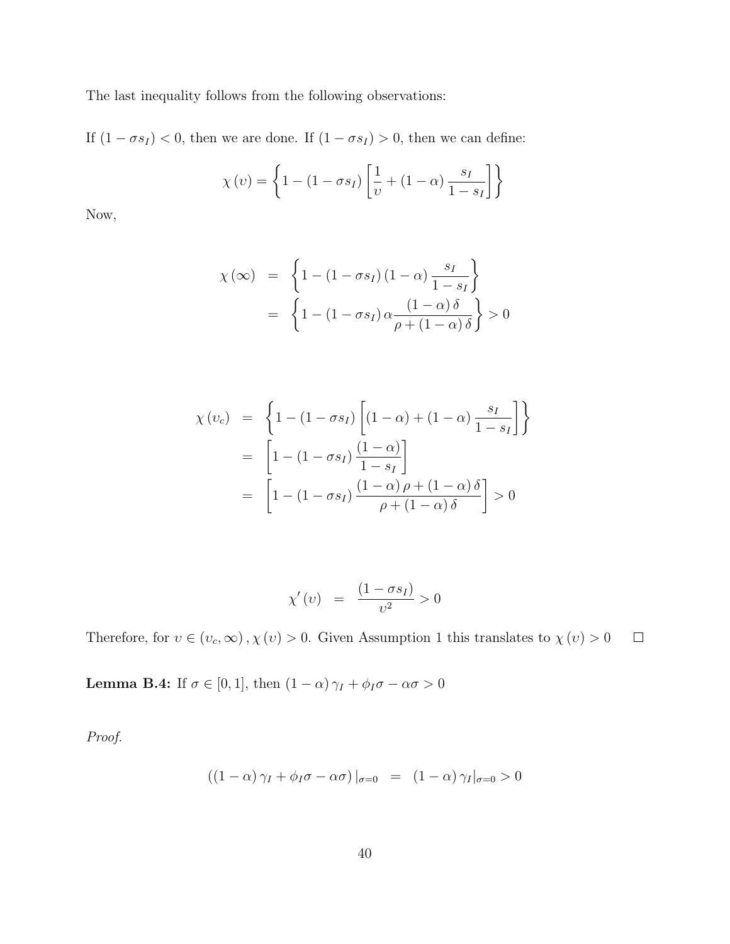The last inequality follows from the following observations:

If  $(1 - \sigma s_I) < 0$ , then we are done. If  $(1 - \sigma s_I) > 0$ , then we can define:

$$
\chi(v) = \left\{ 1 - (1 - \sigma s_I) \left[ \frac{1}{v} + (1 - \alpha) \frac{s_I}{1 - s_I} \right] \right\}
$$

Now,

$$
\chi(\infty) = \left\{ 1 - (1 - \sigma s_I)(1 - \alpha) \frac{s_I}{1 - s_I} \right\}
$$

$$
= \left\{ 1 - (1 - \sigma s_I) \alpha \frac{(1 - \alpha)\delta}{\rho + (1 - \alpha)\delta} \right\} > 0
$$

$$
\chi(v_c) = \left\{ 1 - (1 - \sigma s_I) \left[ (1 - \alpha) + (1 - \alpha) \frac{s_I}{1 - s_I} \right] \right\}
$$

$$
= \left[ 1 - (1 - \sigma s_I) \frac{(1 - \alpha)}{1 - s_I} \right]
$$

$$
= \left[ 1 - (1 - \sigma s_I) \frac{(1 - \alpha) \rho + (1 - \alpha) \delta}{\rho + (1 - \alpha) \delta} \right] > 0
$$

$$
\chi'(v) = \frac{(1 - \sigma s_I)}{v^2} > 0
$$

Therefore, for  $v\in (v_c,\infty)$  ,  $\chi\left(v\right)>0.$  Given Assumption 1 this translates to  $\chi\left(v\right)>0$  $\Box$ 

**Lemma B.4:** If  $\sigma \in [0, 1]$ , then  $(1 - \alpha) \gamma_I + \phi_I \sigma - \alpha \sigma > 0$ 

$$
((1 - \alpha)\gamma_I + \phi_I \sigma - \alpha \sigma)|_{\sigma = 0} = (1 - \alpha)\gamma_I|_{\sigma = 0} > 0
$$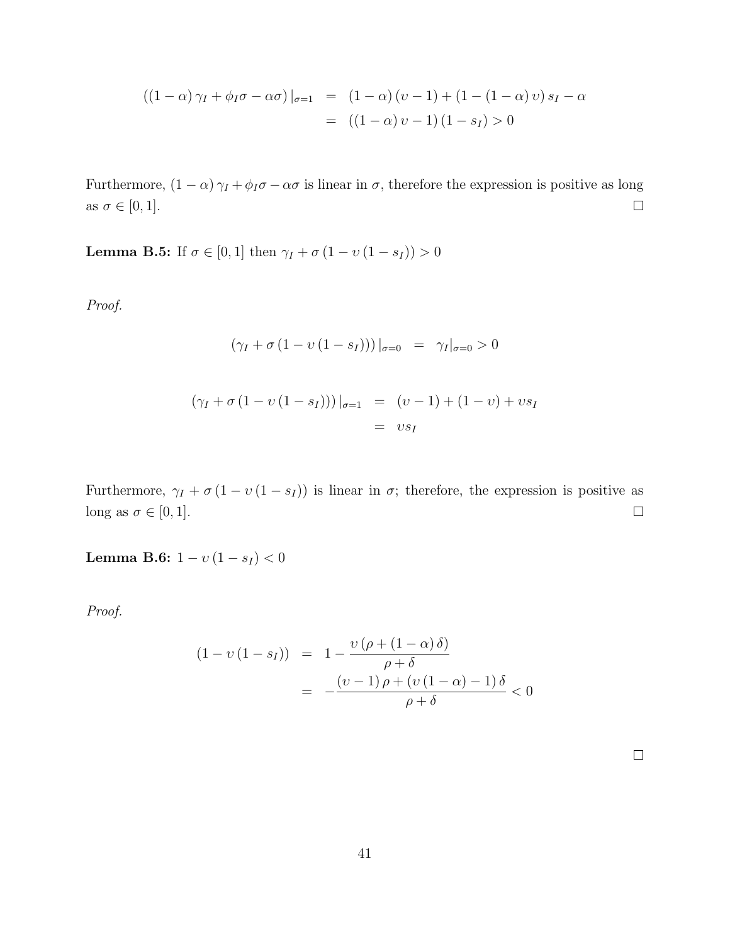$$
((1 - \alpha)\gamma_I + \phi_I \sigma - \alpha \sigma)|_{\sigma=1} = (1 - \alpha)(\upsilon - 1) + (1 - (1 - \alpha)\upsilon)s_I - \alpha
$$
  
=  $((1 - \alpha)\upsilon - 1)(1 - s_I) > 0$ 

Furthermore,  $(1 - \alpha) \gamma_I + \phi_I \sigma - \alpha \sigma$  is linear in  $\sigma$ , therefore the expression is positive as long as  $\sigma \in [0, 1]$ .  $\Box$ 

**Lemma B.5:** If  $\sigma \in [0, 1]$  then  $\gamma_I + \sigma(1 - v(1 - s_I)) > 0$ 

Proof.

$$
(\gamma_I + \sigma (1 - v (1 - s_I)))|_{\sigma=0} = \gamma_I|_{\sigma=0} > 0
$$

$$
(\gamma_I + \sigma (1 - v (1 - s_I)))|_{\sigma=1} = (v - 1) + (1 - v) + vs_I
$$
  
= vs\_I

Furthermore,  $\gamma_I + \sigma (1 - v (1 - s_I))$  is linear in  $\sigma$ ; therefore, the expression is positive as long as  $\sigma \in [0, 1]$ .  $\hfill \square$ 

Lemma B.6:  $1 - v(1 - s_I) < 0$ 

$$
(1 - v(1 - sI)) = 1 - \frac{v(\rho + (1 - \alpha)\delta)}{\rho + \delta}
$$

$$
= -\frac{(v - 1)\rho + (v(1 - \alpha) - 1)\delta}{\rho + \delta} < 0
$$

| ۰ |  |  |
|---|--|--|
|   |  |  |
|   |  |  |
| ۰ |  |  |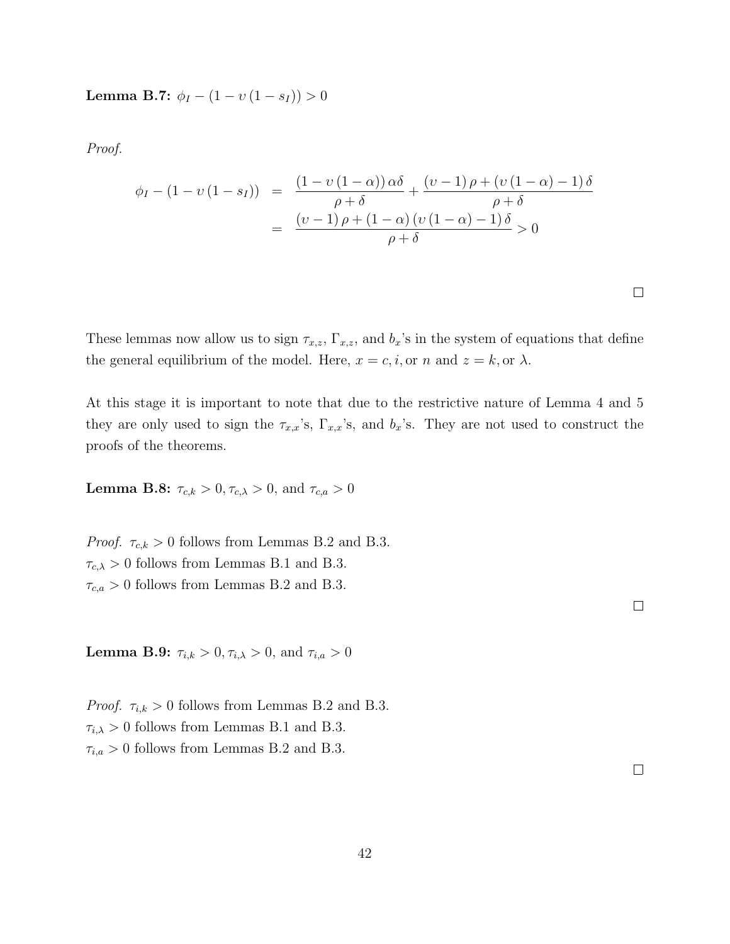Lemma B.7:  $\phi_I - (1 - v(1 - s_I)) > 0$ 

Proof.

$$
\begin{array}{rcl}\n\phi_I - (1 - \upsilon (1 - s_I)) & = & \frac{(1 - \upsilon (1 - \alpha))\alpha\delta}{\rho + \delta} + \frac{(\upsilon - 1)\rho + (\upsilon (1 - \alpha) - 1)\delta}{\rho + \delta} \\
& = & \frac{(\upsilon - 1)\rho + (1 - \alpha)(\upsilon (1 - \alpha) - 1)\delta}{\rho + \delta} > 0\n\end{array}
$$

These lemmas now allow us to sign  $\tau_{x,z}$ ,  $\Gamma_{x,z}$ , and  $b_x$ 's in the system of equations that define the general equilibrium of the model. Here,  $x = c, i$ , or n and  $z = k$ , or  $\lambda$ .

At this stage it is important to note that due to the restrictive nature of Lemma 4 and 5 they are only used to sign the  $\tau_{x,x}$ 's,  $\Gamma_{x,x}$ 's, and  $b_x$ 's. They are not used to construct the proofs of the theorems.

**Lemma B.8:**  $\tau_{c,k} > 0, \tau_{c,\lambda} > 0$ , and  $\tau_{c,a} > 0$ 

*Proof.*  $\tau_{c,k} > 0$  follows from Lemmas B.2 and B.3.  $\tau_{c,\lambda} > 0$  follows from Lemmas B.1 and B.3.  $\tau_{c,a} > 0$  follows from Lemmas B.2 and B.3.

**Lemma B.9:**  $\tau_{i,k} > 0, \tau_{i,\lambda} > 0$ , and  $\tau_{i,a} > 0$ 

*Proof.*  $\tau_{i,k} > 0$  follows from Lemmas B.2 and B.3.  $\tau_{i,\lambda} > 0$  follows from Lemmas B.1 and B.3.  $\tau_{i,a} > 0$  follows from Lemmas B.2 and B.3.

 $\Box$ 

 $\Box$ 

 $\Box$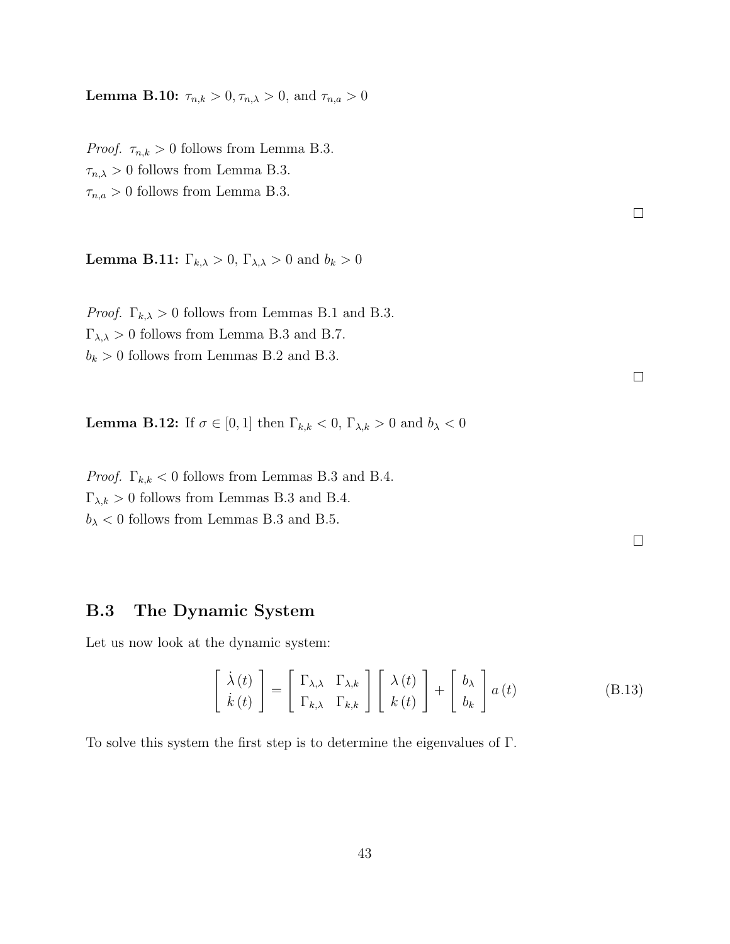**Lemma B.10:**  $\tau_{n,k} > 0, \tau_{n,\lambda} > 0$ , and  $\tau_{n,a} > 0$ 

*Proof.*  $\tau_{n,k} > 0$  follows from Lemma B.3.  $\tau_{n,\lambda} > 0$  follows from Lemma B.3.  $\tau_{n,a} > 0$  follows from Lemma B.3.

**Lemma B.11:**  $\Gamma_{k,\lambda} > 0$ ,  $\Gamma_{\lambda,\lambda} > 0$  and  $b_k > 0$ 

*Proof.*  $\Gamma_{k,\lambda} > 0$  follows from Lemmas B.1 and B.3.  $\Gamma_{\lambda,\lambda} > 0$  follows from Lemma B.3 and B.7.  $b_k > 0$  follows from Lemmas B.2 and B.3.

**Lemma B.12:** If  $\sigma \in [0, 1]$  then  $\Gamma_{k,k} < 0$ ,  $\Gamma_{\lambda,k} > 0$  and  $b_{\lambda} < 0$ 

*Proof.*  $\Gamma_{k,k} < 0$  follows from Lemmas B.3 and B.4.  $\Gamma_{\lambda,k} > 0$  follows from Lemmas B.3 and B.4.  $b_{\lambda}$  < 0 follows from Lemmas B.3 and B.5.

 $\Box$ 

 $\Box$ 

 $\Box$ 

### B.3 The Dynamic System

Let us now look at the dynamic system:

$$
\begin{bmatrix} \dot{\lambda}(t) \\ \dot{k}(t) \end{bmatrix} = \begin{bmatrix} \Gamma_{\lambda,\lambda} & \Gamma_{\lambda,k} \\ \Gamma_{k,\lambda} & \Gamma_{k,k} \end{bmatrix} \begin{bmatrix} \lambda(t) \\ k(t) \end{bmatrix} + \begin{bmatrix} b_{\lambda} \\ b_{k} \end{bmatrix} a(t)
$$
(B.13)

To solve this system the first step is to determine the eigenvalues of Γ.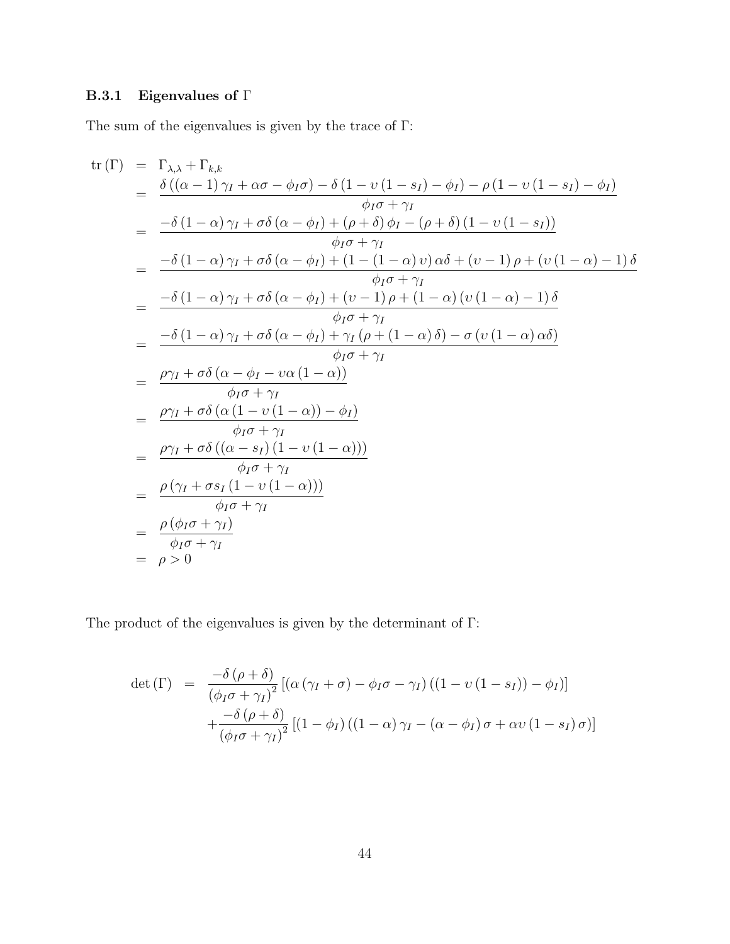## B.3.1 Eigenvalues of  $\Gamma$

The sum of the eigenvalues is given by the trace of  $\Gamma$ :

$$
\begin{array}{rcl}\n\text{tr}\left(\Gamma\right) &=& \Gamma_{\lambda,\lambda} + \Gamma_{k,k} \\
&=& \dfrac{\delta\left((\alpha-1)\gamma_I + \alpha\sigma - \phi_I\sigma\right) - \delta\left(1 - \nu\left(1 - s_I\right) - \phi_I\right) - \rho\left(1 - \nu\left(1 - s_I\right) - \phi_I\right)}{\phi_I\sigma + \gamma_I} \\
&=& \dfrac{-\delta\left(1 - \alpha\right)\gamma_I + \sigma\delta\left(\alpha - \phi_I\right) + (\rho + \delta)\phi_I - (\rho + \delta)\left(1 - \nu\left(1 - s_I\right)\right)}{\phi_I\sigma + \gamma_I} \\
&=& \dfrac{-\delta\left(1 - \alpha\right)\gamma_I + \sigma\delta\left(\alpha - \phi_I\right) + \left(1 - \left(1 - \alpha\right)\nu\right)\alpha\delta + (\nu - 1)\rho + (\nu\left(1 - \alpha\right) - 1)\delta}{\phi_I\sigma + \gamma_I} \\
&=& \dfrac{-\delta\left(1 - \alpha\right)\gamma_I + \sigma\delta\left(\alpha - \phi_I\right) + (\nu - 1)\rho + \left(1 - \alpha\right)\left(\nu\left(1 - \alpha\right) - 1\right)\delta}{\phi_I\sigma + \gamma_I} \\
&=& \dfrac{-\delta\left(1 - \alpha\right)\gamma_I + \sigma\delta\left(\alpha - \phi_I\right) + \gamma_I\left(\rho + \left(1 - \alpha\right)\delta\right) - \sigma\left(\nu\left(1 - \alpha\right)\alpha\delta\right)}{\phi_I\sigma + \gamma_I} \\
&=& \dfrac{\rho\gamma_I + \sigma\delta\left(\alpha - \phi_I - \nu\alpha\left(1 - \alpha\right)\right)}{\phi_I\sigma + \gamma_I} \\
&=& \dfrac{\rho\gamma_I + \sigma\delta\left(\alpha\left(1 - \nu\left(1 - \alpha\right)\right)\right)}{\phi_I\sigma + \gamma_I} \\
&=& \dfrac{\rho\gamma_I + \sigma\delta\left(\left(\alpha - s_I\right)\left(1 - \nu\left(1 - \alpha\right)\right)\right)}{\phi_I\sigma + \gamma_I} \\
&=& \dfrac{\rho\left(\phi_I\sigma + \gamma_I\right)}{\phi_I\sigma + \gamma_I} \\
&=& \dfrac{\rho\left(\phi_I\sigma + \gamma_I\right)}{\phi_I\sigma + \gamma_I} \\
&=& \dfrac{\rho
$$

The product of the eigenvalues is given by the determinant of  $\Gamma$ :

$$
\det(\Gamma) = \frac{-\delta(\rho+\delta)}{(\phi_I\sigma+\gamma_I)^2} [(\alpha(\gamma_I+\sigma)-\phi_I\sigma-\gamma_I)((1-\nu(1-s_I))-\phi_I)] +\frac{-\delta(\rho+\delta)}{(\phi_I\sigma+\gamma_I)^2} [(1-\phi_I)((1-\alpha)\gamma_I-(\alpha-\phi_I)\sigma+\alpha\nu(1-s_I)\sigma)]
$$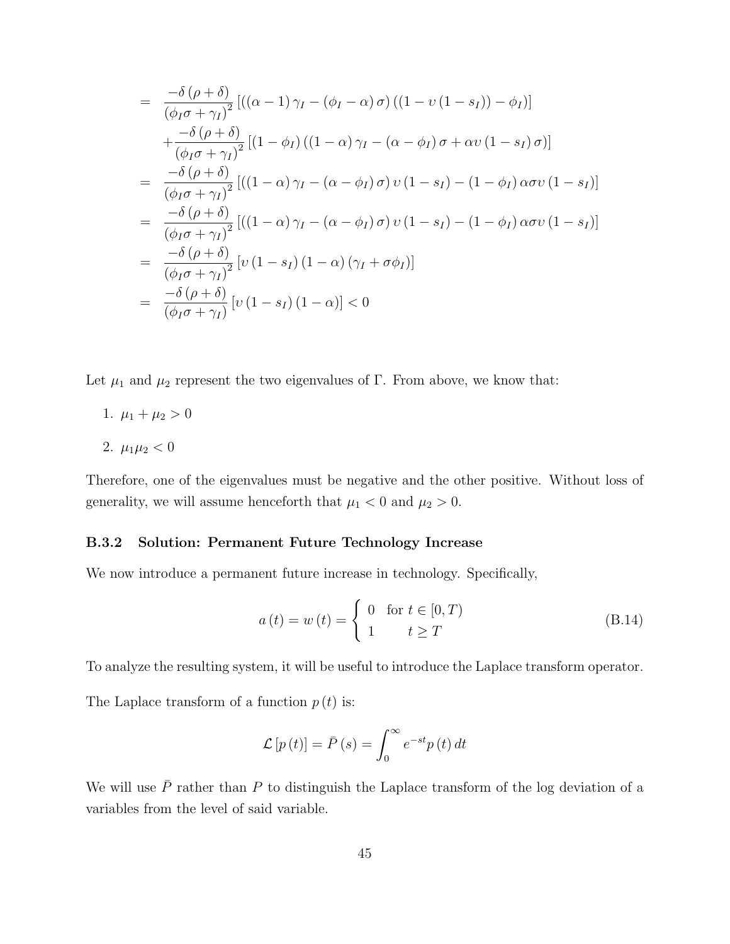$$
= \frac{-\delta(\rho+\delta)}{(\phi_I\sigma+\gamma_I)^2} [((\alpha-1)\gamma_I - (\phi_I - \alpha)\sigma)((1-\nu(1-s_I)) - \phi_I)]
$$
  
+ 
$$
\frac{-\delta(\rho+\delta)}{(\phi_I\sigma+\gamma_I)^2} [(1-\phi_I)((1-\alpha)\gamma_I - (\alpha-\phi_I)\sigma + \alpha\nu(1-s_I)\sigma)]
$$
  
= 
$$
\frac{-\delta(\rho+\delta)}{(\phi_I\sigma+\gamma_I)^2} [((1-\alpha)\gamma_I - (\alpha-\phi_I)\sigma)\nu(1-s_I) - (1-\phi_I)\alpha\sigma\nu(1-s_I)]
$$
  
= 
$$
\frac{-\delta(\rho+\delta)}{(\phi_I\sigma+\gamma_I)^2} [((1-\alpha)\gamma_I - (\alpha-\phi_I)\sigma)\nu(1-s_I) - (1-\phi_I)\alpha\sigma\nu(1-s_I)]
$$
  
= 
$$
\frac{-\delta(\rho+\delta)}{(\phi_I\sigma+\gamma_I)^2} [\nu(1-s_I)(1-\alpha)(\gamma_I + \sigma\phi_I)]
$$
  
= 
$$
\frac{-\delta(\rho+\delta)}{(\phi_I\sigma+\gamma_I)} [\nu(1-s_I)(1-\alpha)] < 0
$$

Let  $\mu_1$  and  $\mu_2$  represent the two eigenvalues of Γ. From above, we know that:

- 1.  $\mu_1 + \mu_2 > 0$
- 2.  $\mu_1\mu_2 < 0$

Therefore, one of the eigenvalues must be negative and the other positive. Without loss of generality, we will assume henceforth that  $\mu_1 < 0$  and  $\mu_2 > 0$ .

#### B.3.2 Solution: Permanent Future Technology Increase

We now introduce a permanent future increase in technology. Specifically,

$$
a(t) = w(t) = \begin{cases} 0 & \text{for } t \in [0, T) \\ 1 & t \ge T \end{cases}
$$
 (B.14)

To analyze the resulting system, it will be useful to introduce the Laplace transform operator.

The Laplace transform of a function  $p(t)$  is:

$$
\mathcal{L}\left[p\left(t\right)\right] = \bar{P}\left(s\right) = \int_0^\infty e^{-st} p\left(t\right) dt
$$

We will use  $\bar{P}$  rather than P to distinguish the Laplace transform of the log deviation of a variables from the level of said variable.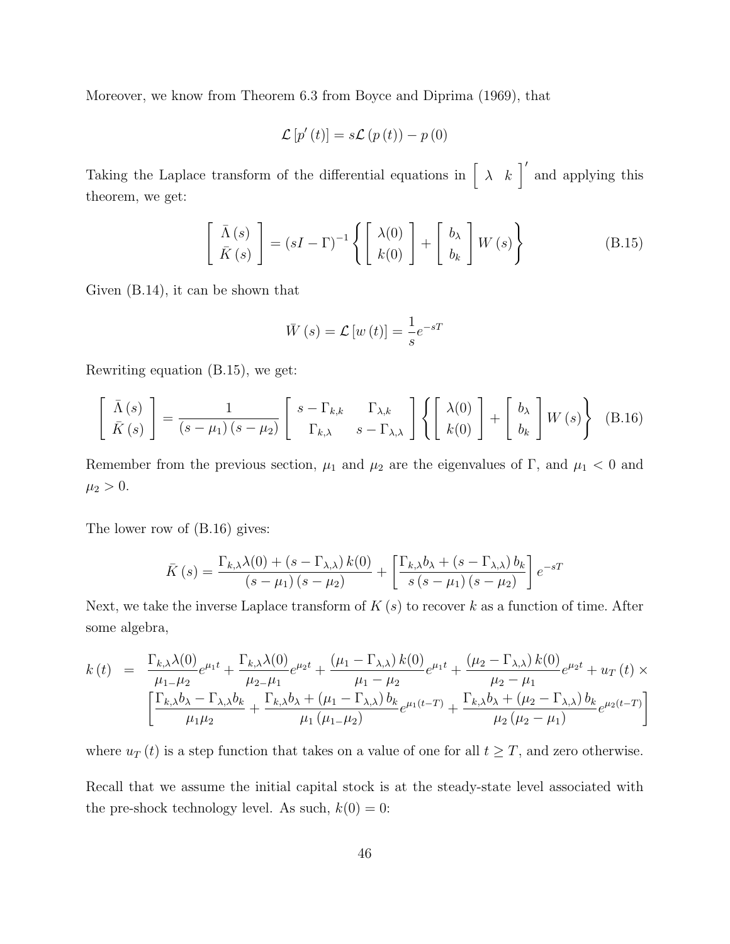Moreover, we know from Theorem 6.3 from Boyce and Diprima (1969), that

$$
\mathcal{L}\left[p'(t)\right] = s\mathcal{L}\left(p\left(t\right)\right) - p\left(0\right)
$$

Taking the Laplace transform of the differential equations in  $\begin{bmatrix} \lambda & k \end{bmatrix}^{\prime}$  and applying this theorem, we get:

$$
\begin{bmatrix}\n\bar{\Lambda}(s) \\
\bar{K}(s)\n\end{bmatrix} = (sI - \Gamma)^{-1} \left\{ \begin{bmatrix}\n\lambda(0) \\
k(0)\n\end{bmatrix} + \begin{bmatrix}\nb_{\lambda} \\
b_{k}\n\end{bmatrix} W(s) \right\}
$$
\n(B.15)

Given (B.14), it can be shown that

$$
\bar{W}(s) = \mathcal{L}\left[w\left(t\right)\right] = \frac{1}{s}e^{-sT}
$$

Rewriting equation (B.15), we get:

$$
\begin{bmatrix}\n\bar{\Lambda}(s) \\
\bar{K}(s)\n\end{bmatrix} = \frac{1}{(s - \mu_1)(s - \mu_2)} \begin{bmatrix}\ns - \Gamma_{k,k} & \Gamma_{\lambda,k} \\
\Gamma_{k,\lambda} & s - \Gamma_{\lambda,\lambda}\n\end{bmatrix} \left\{ \begin{bmatrix}\n\lambda(0) \\
k(0)\n\end{bmatrix} + \begin{bmatrix}\nb_{\lambda} \\
b_{k}\n\end{bmatrix} W(s) \right\}
$$
\n(B.16)

Remember from the previous section,  $\mu_1$  and  $\mu_2$  are the eigenvalues of Γ, and  $\mu_1 < 0$  and  $\mu_2 > 0.$ 

The lower row of (B.16) gives:

$$
\bar{K}(s) = \frac{\Gamma_{k,\lambda}\lambda(0) + (s - \Gamma_{\lambda,\lambda}) k(0)}{(s - \mu_1)(s - \mu_2)} + \left[\frac{\Gamma_{k,\lambda}b_{\lambda} + (s - \Gamma_{\lambda,\lambda})b_k}{s(s - \mu_1)(s - \mu_2)}\right]e^{-sT}
$$

Next, we take the inverse Laplace transform of  $K(s)$  to recover k as a function of time. After some algebra,

$$
k(t) = \frac{\Gamma_{k,\lambda}\lambda(0)}{\mu_{1-\mu_{2}}}e^{\mu_{1}t} + \frac{\Gamma_{k,\lambda}\lambda(0)}{\mu_{2-\mu_{1}}}e^{\mu_{2}t} + \frac{(\mu_{1}-\Gamma_{\lambda,\lambda})k(0)}{\mu_{1}-\mu_{2}}e^{\mu_{1}t} + \frac{(\mu_{2}-\Gamma_{\lambda,\lambda})k(0)}{\mu_{2}-\mu_{1}}e^{\mu_{2}t} + u_{T}(t) \times \left[\frac{\Gamma_{k,\lambda}b_{\lambda}-\Gamma_{\lambda,\lambda}b_{k}}{\mu_{1}\mu_{2}} + \frac{\Gamma_{k,\lambda}b_{\lambda}+(\mu_{1}-\Gamma_{\lambda,\lambda})b_{k}}{\mu_{1}(\mu_{1-\mu_{2})}}e^{\mu_{1}(t-T)} + \frac{\Gamma_{k,\lambda}b_{\lambda}+(\mu_{2}-\Gamma_{\lambda,\lambda})b_{k}}{\mu_{2}(\mu_{2}-\mu_{1})}e^{\mu_{2}(t-T)}\right]
$$

where  $u_T(t)$  is a step function that takes on a value of one for all  $t \geq T$ , and zero otherwise. Recall that we assume the initial capital stock is at the steady-state level associated with the pre-shock technology level. As such,  $k(0) = 0$ :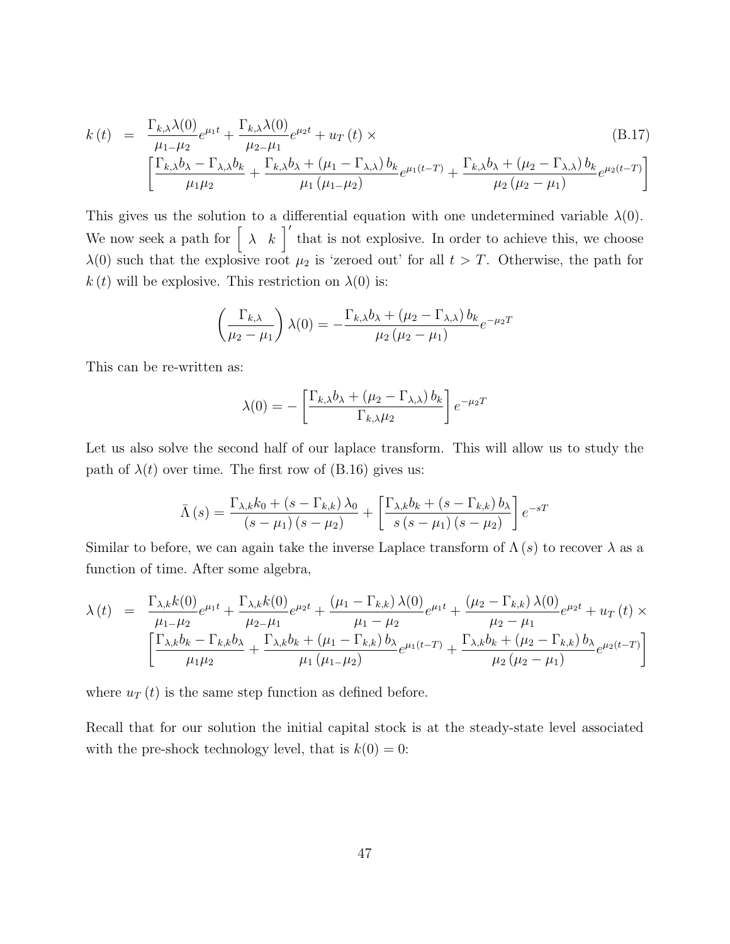$$
k(t) = \frac{\Gamma_{k,\lambda}\lambda(0)}{\mu_1 - \mu_2}e^{\mu_1 t} + \frac{\Gamma_{k,\lambda}\lambda(0)}{\mu_2 - \mu_1}e^{\mu_2 t} + u_T(t) \times
$$
\n
$$
\left[\frac{\Gamma_{k,\lambda}b_{\lambda} - \Gamma_{\lambda,\lambda}b_k}{\mu_1\mu_2} + \frac{\Gamma_{k,\lambda}b_{\lambda} + (\mu_1 - \Gamma_{\lambda,\lambda})b_k}{\mu_1(\mu_1 - \mu_2)}e^{\mu_1(t-T)} + \frac{\Gamma_{k,\lambda}b_{\lambda} + (\mu_2 - \Gamma_{\lambda,\lambda})b_k}{\mu_2(\mu_2 - \mu_1)}e^{\mu_2(t-T)}\right]
$$
\n(B.17)

This gives us the solution to a differential equation with one undetermined variable  $\lambda(0)$ . We now seek a path for  $\begin{bmatrix} \lambda & k \end{bmatrix}$  that is not explosive. In order to achieve this, we choose  $\lambda(0)$  such that the explosive root  $\mu_2$  is 'zeroed out' for all  $t > T$ . Otherwise, the path for k (t) will be explosive. This restriction on  $\lambda(0)$  is:

$$
\left(\frac{\Gamma_{k,\lambda}}{\mu_2 - \mu_1}\right) \lambda(0) = -\frac{\Gamma_{k,\lambda} b_{\lambda} + (\mu_2 - \Gamma_{\lambda,\lambda}) b_k}{\mu_2 (\mu_2 - \mu_1)} e^{-\mu_2 T}
$$

This can be re-written as:

$$
\lambda(0) = -\left[\frac{\Gamma_{k,\lambda}b_{\lambda} + (\mu_2 - \Gamma_{\lambda,\lambda})b_k}{\Gamma_{k,\lambda}\mu_2}\right]e^{-\mu_2T}
$$

Let us also solve the second half of our laplace transform. This will allow us to study the path of  $\lambda(t)$  over time. The first row of (B.16) gives us:

$$
\bar{\Lambda}(s) = \frac{\Gamma_{\lambda,k}k_0 + (s - \Gamma_{k,k})\lambda_0}{(s - \mu_1)(s - \mu_2)} + \left[\frac{\Gamma_{\lambda,k}b_k + (s - \Gamma_{k,k})b_\lambda}{s(s - \mu_1)(s - \mu_2)}\right]e^{-sT}
$$

Similar to before, we can again take the inverse Laplace transform of  $\Lambda(s)$  to recover  $\lambda$  as a function of time. After some algebra,

$$
\lambda(t) = \frac{\Gamma_{\lambda,k}k(0)}{\mu_1 - \mu_2}e^{\mu_1 t} + \frac{\Gamma_{\lambda,k}k(0)}{\mu_2 - \mu_1}e^{\mu_2 t} + \frac{(\mu_1 - \Gamma_{k,k})\lambda(0)}{\mu_1 - \mu_2}e^{\mu_1 t} + \frac{(\mu_2 - \Gamma_{k,k})\lambda(0)}{\mu_2 - \mu_1}e^{\mu_2 t} + u_T(t) \times \left[\frac{\Gamma_{\lambda,k}b_k - \Gamma_{k,k}b_\lambda}{\mu_1\mu_2} + \frac{\Gamma_{\lambda,k}b_k + (\mu_1 - \Gamma_{k,k})b_\lambda}{\mu_1(\mu_1 - \mu_2)}e^{\mu_1(t-T)} + \frac{\Gamma_{\lambda,k}b_k + (\mu_2 - \Gamma_{k,k})b_\lambda}{\mu_2(\mu_2 - \mu_1)}e^{\mu_2(t-T)}\right]
$$

where  $u_T(t)$  is the same step function as defined before.

Recall that for our solution the initial capital stock is at the steady-state level associated with the pre-shock technology level, that is  $k(0) = 0$ :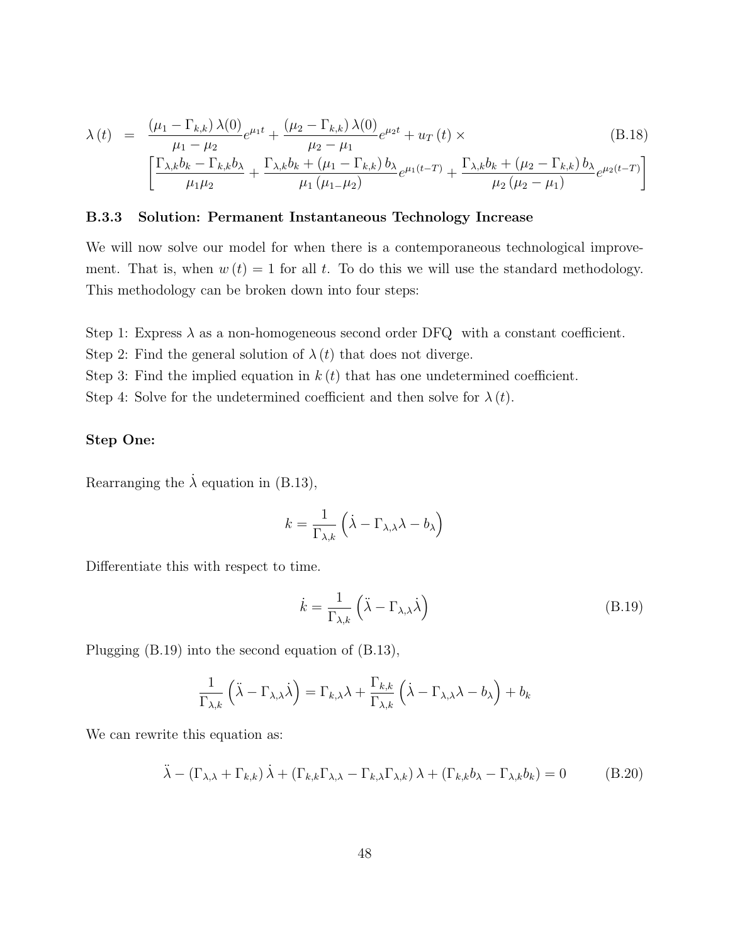$$
\lambda(t) = \frac{(\mu_1 - \Gamma_{k,k}) \lambda(0)}{\mu_1 - \mu_2} e^{\mu_1 t} + \frac{(\mu_2 - \Gamma_{k,k}) \lambda(0)}{\mu_2 - \mu_1} e^{\mu_2 t} + u_T(t) \times
$$
\n(B.18)  
\n
$$
\left[ \frac{\Gamma_{\lambda,k} b_k - \Gamma_{k,k} b_\lambda}{\mu_1 \mu_2} + \frac{\Gamma_{\lambda,k} b_k + (\mu_1 - \Gamma_{k,k}) b_\lambda}{\mu_1 (\mu_1 - \mu_2)} e^{\mu_1 (t - T)} + \frac{\Gamma_{\lambda,k} b_k + (\mu_2 - \Gamma_{k,k}) b_\lambda}{\mu_2 (\mu_2 - \mu_1)} e^{\mu_2 (t - T)} \right]
$$

#### B.3.3 Solution: Permanent Instantaneous Technology Increase

We will now solve our model for when there is a contemporaneous technological improvement. That is, when  $w(t) = 1$  for all t. To do this we will use the standard methodology. This methodology can be broken down into four steps:

Step 1: Express  $\lambda$  as a non-homogeneous second order DFQ with a constant coefficient.

Step 2: Find the general solution of  $\lambda(t)$  that does not diverge.

Step 3: Find the implied equation in  $k(t)$  that has one undetermined coefficient.

Step 4: Solve for the undetermined coefficient and then solve for  $\lambda(t)$ .

#### Step One:

Rearranging the  $\lambda$  equation in (B.13),

$$
k = \frac{1}{\Gamma_{\lambda,k}} \left( \dot{\lambda} - \Gamma_{\lambda,\lambda} \lambda - b_{\lambda} \right)
$$

Differentiate this with respect to time.

$$
\dot{k} = \frac{1}{\Gamma_{\lambda,k}} \left( \ddot{\lambda} - \Gamma_{\lambda,\lambda} \dot{\lambda} \right)
$$
 (B.19)

Plugging (B.19) into the second equation of (B.13),

$$
\frac{1}{\Gamma_{\lambda,k}}\left(\ddot{\lambda}-\Gamma_{\lambda,\lambda}\dot{\lambda}\right)=\Gamma_{k,\lambda}\lambda+\frac{\Gamma_{k,k}}{\Gamma_{\lambda,k}}\left(\dot{\lambda}-\Gamma_{\lambda,\lambda}\lambda-b_{\lambda}\right)+b_{k}
$$

We can rewrite this equation as:

$$
\ddot{\lambda} - (\Gamma_{\lambda,\lambda} + \Gamma_{k,k}) \dot{\lambda} + (\Gamma_{k,k} \Gamma_{\lambda,\lambda} - \Gamma_{k,\lambda} \Gamma_{\lambda,k}) \lambda + (\Gamma_{k,k} b_{\lambda} - \Gamma_{\lambda,k} b_k) = 0
$$
 (B.20)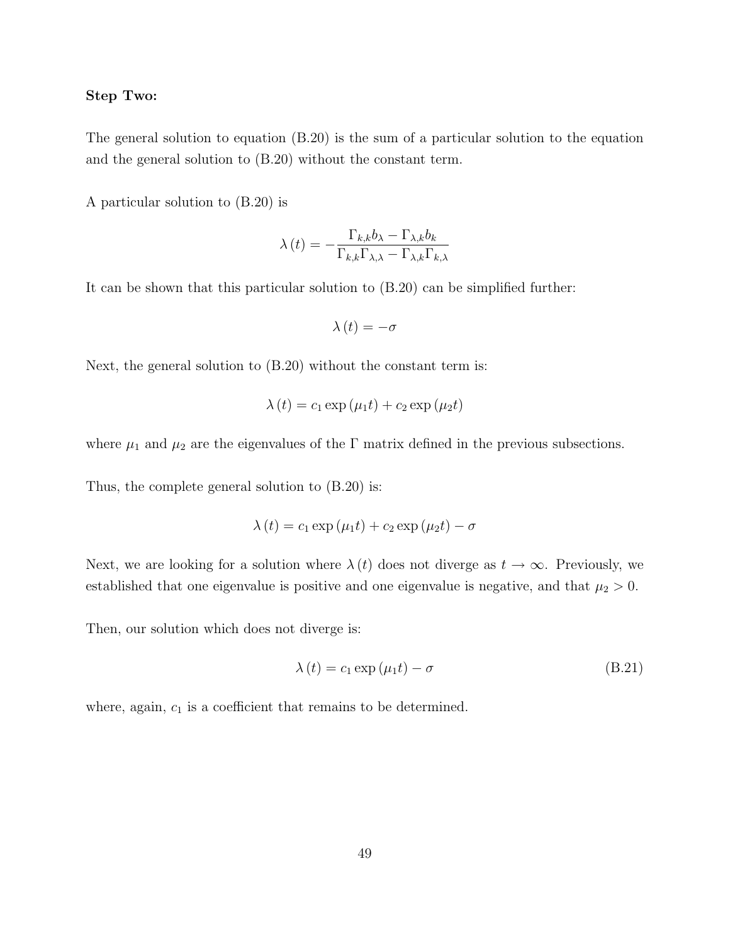#### Step Two:

The general solution to equation (B.20) is the sum of a particular solution to the equation and the general solution to (B.20) without the constant term.

A particular solution to (B.20) is

$$
\lambda(t) = -\frac{\Gamma_{k,k}b_{\lambda} - \Gamma_{\lambda,k}b_{k}}{\Gamma_{k,k}\Gamma_{\lambda,\lambda} - \Gamma_{\lambda,k}\Gamma_{k,\lambda}}
$$

It can be shown that this particular solution to (B.20) can be simplified further:

$$
\lambda(t) = -\sigma
$$

Next, the general solution to (B.20) without the constant term is:

$$
\lambda(t) = c_1 \exp(\mu_1 t) + c_2 \exp(\mu_2 t)
$$

where  $\mu_1$  and  $\mu_2$  are the eigenvalues of the  $\Gamma$  matrix defined in the previous subsections.

Thus, the complete general solution to (B.20) is:

$$
\lambda(t) = c_1 \exp(\mu_1 t) + c_2 \exp(\mu_2 t) - \sigma
$$

Next, we are looking for a solution where  $\lambda(t)$  does not diverge as  $t \to \infty$ . Previously, we established that one eigenvalue is positive and one eigenvalue is negative, and that  $\mu_2 > 0$ .

Then, our solution which does not diverge is:

$$
\lambda(t) = c_1 \exp(\mu_1 t) - \sigma \tag{B.21}
$$

where, again,  $c_1$  is a coefficient that remains to be determined.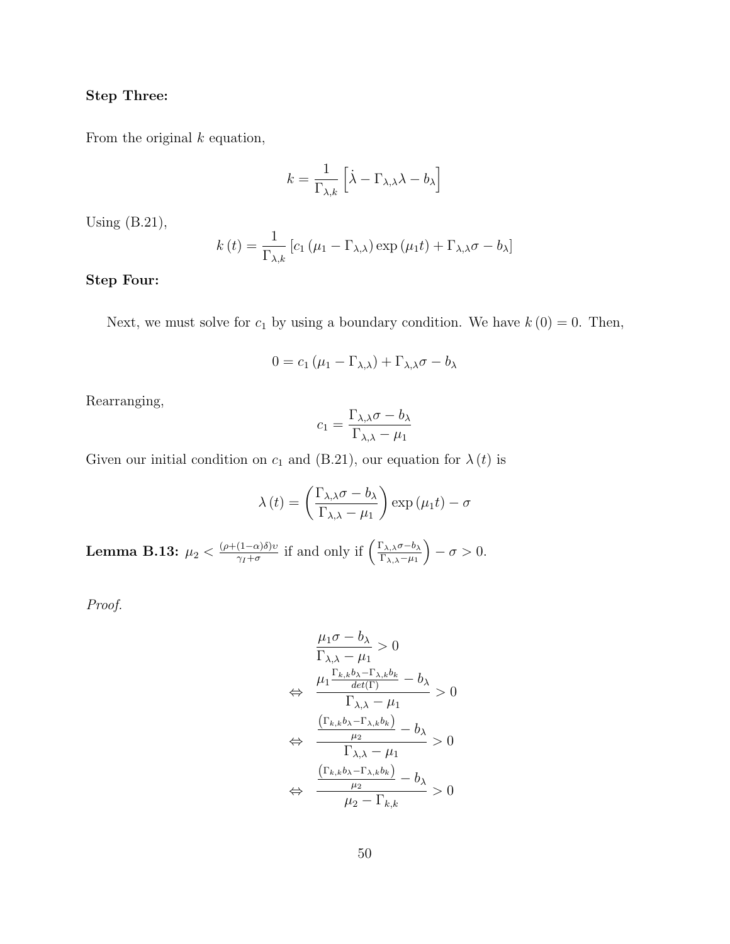#### Step Three:

From the original  $k$  equation,

$$
k = \frac{1}{\Gamma_{\lambda,k}} \left[ \dot{\lambda} - \Gamma_{\lambda,\lambda} \lambda - b_{\lambda} \right]
$$

Using (B.21),

$$
k(t) = \frac{1}{\Gamma_{\lambda,k}} \left[ c_1 \left( \mu_1 - \Gamma_{\lambda,\lambda} \right) \exp \left( \mu_1 t \right) + \Gamma_{\lambda,\lambda} \sigma - b_\lambda \right]
$$

### Step Four:

Next, we must solve for  $c_1$  by using a boundary condition. We have  $k(0) = 0$ . Then,

$$
0 = c_1 (\mu_1 - \Gamma_{\lambda,\lambda}) + \Gamma_{\lambda,\lambda} \sigma - b_\lambda
$$

Rearranging,

$$
c_1 = \frac{\Gamma_{\lambda,\lambda}\sigma - b_{\lambda}}{\Gamma_{\lambda,\lambda} - \mu_1}
$$

Given our initial condition on  $c_1$  and (B.21), our equation for  $\lambda(t)$  is

$$
\lambda(t) = \left(\frac{\Gamma_{\lambda,\lambda}\sigma - b_{\lambda}}{\Gamma_{\lambda,\lambda} - \mu_1}\right) \exp\left(\mu_1 t\right) - \sigma
$$

Lemma B.13:  $\mu_2 < \frac{(\rho+(1-\alpha)\delta)v}{\gamma_I+\sigma_I}$  $\frac{(1-\alpha)\delta)v}{\gamma_I+\sigma}$  if and only if  $\left(\frac{\Gamma_{\lambda,\lambda}\sigma-b_\lambda}{\Gamma_{\lambda,\lambda}-\mu_I}\right)$  $\Gamma_{\lambda,\lambda}$ − $\mu_1$  $- \sigma > 0.$ 

$$
\frac{\mu_1 \sigma - b_{\lambda}}{\Gamma_{\lambda, \lambda} - \mu_1} > 0
$$
\n
$$
\Leftrightarrow \frac{\mu_1 \frac{\Gamma_{k,k} b_{\lambda} - \Gamma_{\lambda,k} b_k}{\det(\Gamma)} - b_{\lambda}}{\Gamma_{\lambda, \lambda} - \mu_1} > 0
$$
\n
$$
\Leftrightarrow \frac{\frac{(\Gamma_{k,k} b_{\lambda} - \Gamma_{\lambda,k} b_k)}{\mu_2} - b_{\lambda}}{\Gamma_{\lambda, \lambda} - \mu_1} > 0
$$
\n
$$
\Leftrightarrow \frac{\frac{(\Gamma_{k,k} b_{\lambda} - \Gamma_{\lambda,k} b_k)}{\mu_2} - b_{\lambda}}{\mu_2 - \Gamma_{k,k}} > 0
$$